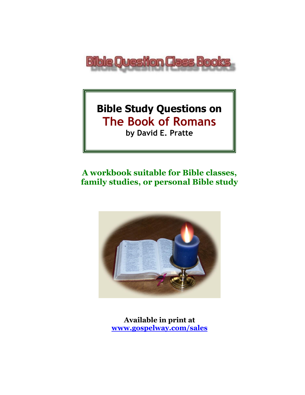

# **Bible Study Questions on The Book of Romans**

**by David E. Pratte**

## **A workbook suitable for Bible classes, family studies, or personal Bible study**



**Available in print at [www.gospelway.com/sales](https://www.gospelway.com/sales)**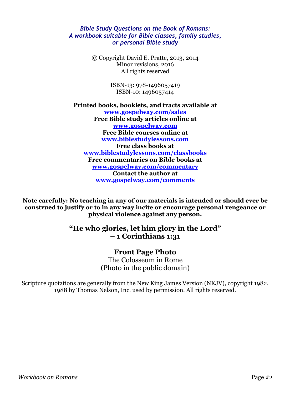### *Bible Study Questions on the Book of Romans: A workbook suitable for Bible classes, family studies, or personal Bible study*

© Copyright David E. Pratte, 2013, 2014 Minor revisions, 2016 All rights reserved

> ISBN-13: 978-1496057419 ISBN-10: 1496057414

**Printed books, booklets, and tracts available at [www.gospelway.com/sales](https://www.gospelway.com/sales) Free Bible study articles online at [www.gospelway.com](http://www.gospelway.com/) Free Bible courses online at [www.biblestudylessons.com](http://www.biblestudylessons.com/) Free class books at [www.biblestudylessons.com/classbooks](http://www.biblestudylessons.com/classbooks) Free commentaries on Bible books at [www.gospelway.com/commentary](http://www.gospelway.com/commentary) Contact the author at [www.gospelway.com/comments](http://www.gospelway.com/comments)**

**Note carefully: No teaching in any of our materials is intended or should ever be construed to justify or to in any way incite or encourage personal vengeance or physical violence against any person.**

### **"He who glories, let him glory in the Lord" – 1 Corinthians 1:31**

## **Front Page Photo**

The Colosseum in Rome (Photo in the public domain)

Scripture quotations are generally from the New King James Version (NKJV), copyright 1982, 1988 by Thomas Nelson, Inc. used by permission. All rights reserved.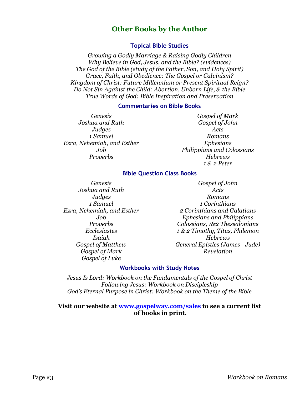### **Other Books by the Author**

### **Topical Bible Studies**

*Growing a Godly Marriage & Raising Godly Children Why Believe in God, Jesus, and the Bible? (evidences) The God of the Bible (study of the Father, Son, and Holy Spirit) Grace, Faith, and Obedience: The Gospel or Calvinism? Kingdom of Christ: Future Millennium or Present Spiritual Reign? Do Not Sin Against the Child: Abortion, Unborn Life, & the Bible True Words of God: Bible Inspiration and Preservation*

#### **Commentaries on Bible Books**

*Genesis Joshua and Ruth Judges 1 Samuel Ezra, Nehemiah, and Esther Job Proverbs*

*Gospel of Mark Gospel of John Acts Romans Ephesians Philippians and Colossians Hebrews 1 & 2 Peter*

### **Bible Question Class Books**

*Genesis Joshua and Ruth Judges 1 Samuel Ezra, Nehemiah, and Esther Job Proverbs Ecclesiastes Isaiah Gospel of Matthew Gospel of Mark Gospel of Luke*

*Gospel of John Acts Romans 1 Corinthians 2 Corinthians and Galatians Ephesians and Philippians Colossians, 1&2 Thessalonians 1 & 2 Timothy, Titus, Philemon Hebrews General Epistles (James - Jude) Revelation*

### **Workbooks with Study Notes**

*Jesus Is Lord: Workbook on the Fundamentals of the Gospel of Christ Following Jesus: Workbook on Discipleship God's Eternal Purpose in Christ: Workbook on the Theme of the Bible*

### **Visit our website at [www.gospelway.com/sales](https://www.gospelway.com/sales) to see a current list of books in print.**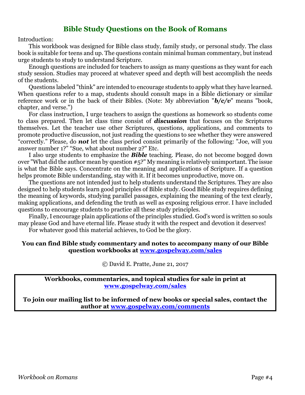### **Bible Study Questions on the Book of Romans**

Introduction:

This workbook was designed for Bible class study, family study, or personal study. The class book is suitable for teens and up. The questions contain minimal human commentary, but instead urge students to study to understand Scripture.

Enough questions are included for teachers to assign as many questions as they want for each study session. Studies may proceed at whatever speed and depth will best accomplish the needs of the students.

Questions labeled "think" are intended to encourage students to apply what they have learned. When questions refer to a map, students should consult maps in a Bible dictionary or similar reference work or in the back of their Bibles. (Note: My abbreviation "*b/c/v*" means "book, chapter, and verse.")

For class instruction, I urge teachers to assign the questions as homework so students come to class prepared. Then let class time consist of *discussion* that focuses on the Scriptures themselves. Let the teacher use other Scriptures, questions, applications, and comments to promote productive discussion, not just reading the questions to see whether they were answered "correctly." Please, do *not* let the class period consist primarily of the following: "Joe, will you answer number 1?" "Sue, what about number 2?" Etc.

I also urge students to emphasize the *Bible* teaching. Please, do not become bogged down over "What did the author mean by question #5?" My meaning is relatively unimportant. The issue is what the Bible says. Concentrate on the meaning and applications of Scripture. If a question helps promote Bible understanding, stay with it. If it becomes unproductive, move on.

The questions are not intended just to help students understand the Scriptures. They are also designed to help students learn good principles of Bible study. Good Bible study requires defining the meaning of keywords, studying parallel passages, explaining the meaning of the text clearly, making applications, and defending the truth as well as exposing religious error. I have included questions to encourage students to practice all these study principles.

Finally, I encourage plain applications of the principles studied. God's word is written so souls may please God and have eternal life. Please study it with the respect and devotion it deserves! For whatever good this material achieves, to God be the glory.

## **You can find Bible study commentary and notes to accompany many of our Bible**

**question workbooks at [www.gospelway.com/sales](https://www.gospelway.com/sales)**

© David E. Pratte, June 21, 2017

**Workbooks, commentaries, and topical studies for sale in print at [www.gospelway.com/sales](https://www.gospelway.com/sales)**

**To join our mailing list to be informed of new books or special sales, contact the author at [www.gospelway.com/comments](http://www.gospelway.com/comments)**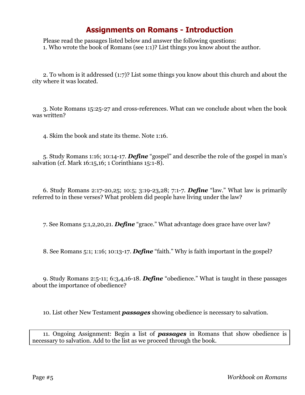## **Assignments on Romans - Introduction**

Please read the passages listed below and answer the following questions: 1. Who wrote the book of Romans (see 1:1)? List things you know about the author.

2. To whom is it addressed (1:7)? List some things you know about this church and about the city where it was located.

3. Note Romans 15:25-27 and cross-references. What can we conclude about when the book was written?

4. Skim the book and state its theme. Note 1:16.

5. Study Romans 1:16; 10:14-17. *Define* "gospel" and describe the role of the gospel in man's salvation (cf. Mark 16:15,16; 1 Corinthians 15:1-8).

6. Study Romans 2:17-20,25; 10:5; 3:19-23,28; 7:1-7. *Define* "law." What law is primarily referred to in these verses? What problem did people have living under the law?

7. See Romans 5:1,2,20,21. *Define* "grace." What advantage does grace have over law?

8. See Romans 5:1; 1:16; 10:13-17. *Define* "faith." Why is faith important in the gospel?

9. Study Romans 2:5-11; 6:3,4,16-18. *Define* "obedience." What is taught in these passages about the importance of obedience?

10. List other New Testament *passages* showing obedience is necessary to salvation.

11. Ongoing Assignment: Begin a list of *passages* in Romans that show obedience is necessary to salvation. Add to the list as we proceed through the book.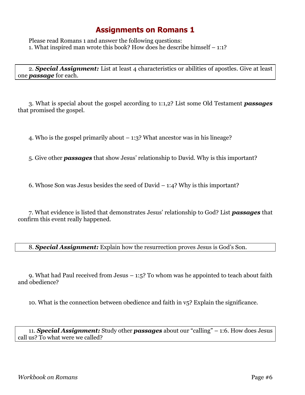## **Assignments on Romans 1**

Please read Romans 1 and answer the following questions: 1. What inspired man wrote this book? How does he describe himself – 1:1?

2. *Special Assignment:* List at least 4 characteristics or abilities of apostles. Give at least one *passage* for each.

3. What is special about the gospel according to 1:1,2? List some Old Testament *passages* that promised the gospel.

4. Who is the gospel primarily about – 1:3? What ancestor was in his lineage?

5. Give other *passages* that show Jesus' relationship to David. Why is this important?

6. Whose Son was Jesus besides the seed of David – 1:4? Why is this important?

7. What evidence is listed that demonstrates Jesus' relationship to God? List *passages* that confirm this event really happened.

8. *Special Assignment:* Explain how the resurrection proves Jesus is God's Son.

9. What had Paul received from Jesus – 1:5? To whom was he appointed to teach about faith and obedience?

10. What is the connection between obedience and faith in v5? Explain the significance.

11. *Special Assignment:* Study other *passages* about our "calling" – 1:6. How does Jesus call us? To what were we called?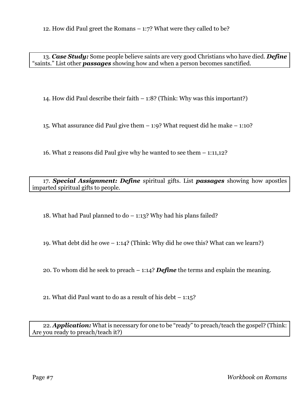13. *Case Study:* Some people believe saints are very good Christians who have died. *Define* "saints." List other *passages* showing how and when a person becomes sanctified.

14. How did Paul describe their faith – 1:8? (Think: Why was this important?)

15. What assurance did Paul give them – 1:9? What request did he make – 1:10?

16. What 2 reasons did Paul give why he wanted to see them – 1:11,12?

17. *Special Assignment: Define* spiritual gifts. List *passages* showing how apostles imparted spiritual gifts to people.

18. What had Paul planned to do – 1:13? Why had his plans failed?

19. What debt did he owe – 1:14? (Think: Why did he owe this? What can we learn?)

20. To whom did he seek to preach – 1:14? *Define* the terms and explain the meaning.

21. What did Paul want to do as a result of his debt – 1:15?

22. *Application:* What is necessary for one to be "ready" to preach/teach the gospel? (Think: Are you ready to preach/teach it?)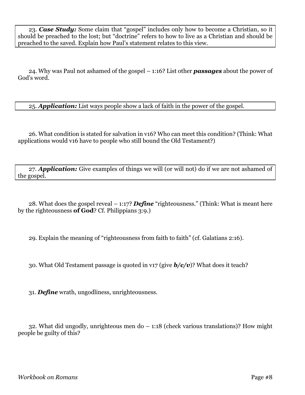23. *Case Study:* Some claim that "gospel" includes only how to become a Christian, so it should be preached to the lost; but "doctrine" refers to how to live as a Christian and should be preached to the saved. Explain how Paul's statement relates to this view.

24. Why was Paul not ashamed of the gospel – 1:16? List other *passages* about the power of God's word.

25. *Application:* List ways people show a lack of faith in the power of the gospel.

26. What condition is stated for salvation in v16? Who can meet this condition? (Think: What applications would v16 have to people who still bound the Old Testament?)

27. *Application:* Give examples of things we will (or will not) do if we are not ashamed of the gospel.

28. What does the gospel reveal – 1:17? *Define* "righteousness." (Think: What is meant here by the righteousness **of God**? Cf. Philippians 3:9.)

29. Explain the meaning of "righteousness from faith to faith" (cf. Galatians 2:16).

30. What Old Testament passage is quoted in v17 (give *b/c/v*)? What does it teach?

31. *Define* wrath, ungodliness, unrighteousness.

32. What did ungodly, unrighteous men do – 1:18 (check various translations)? How might people be guilty of this?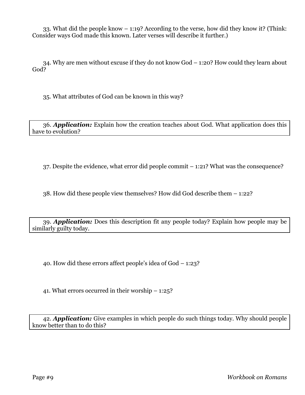33. What did the people know – 1:19? According to the verse, how did they know it? (Think: Consider ways God made this known. Later verses will describe it further.)

34. Why are men without excuse if they do not know God – 1:20? How could they learn about God?

35. What attributes of God can be known in this way?

36. *Application:* Explain how the creation teaches about God. What application does this have to evolution?

37. Despite the evidence, what error did people commit – 1:21? What was the consequence?

38. How did these people view themselves? How did God describe them – 1:22?

39. *Application:* Does this description fit any people today? Explain how people may be similarly guilty today.

40. How did these errors affect people's idea of God – 1:23?

41. What errors occurred in their worship – 1:25?

42. *Application:* Give examples in which people do such things today. Why should people know better than to do this?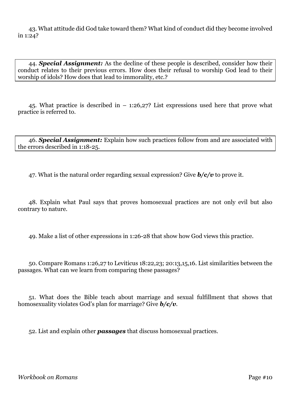43. What attitude did God take toward them? What kind of conduct did they become involved in 1:24?

44. *Special Assignment:* As the decline of these people is described, consider how their conduct relates to their previous errors. How does their refusal to worship God lead to their worship of idols? How does that lead to immorality, etc.?

45. What practice is described in – 1:26,27? List expressions used here that prove what practice is referred to.

46. *Special Assignment:* Explain how such practices follow from and are associated with the errors described in 1:18-25.

47. What is the natural order regarding sexual expression? Give *b/c/v* to prove it.

48. Explain what Paul says that proves homosexual practices are not only evil but also contrary to nature.

49. Make a list of other expressions in 1:26-28 that show how God views this practice.

50. Compare Romans 1:26,27 to Leviticus 18:22,23; 20:13,15,16. List similarities between the passages. What can we learn from comparing these passages?

51. What does the Bible teach about marriage and sexual fulfillment that shows that homosexuality violates God's plan for marriage? Give *b/c/v*.

52. List and explain other *passages* that discuss homosexual practices.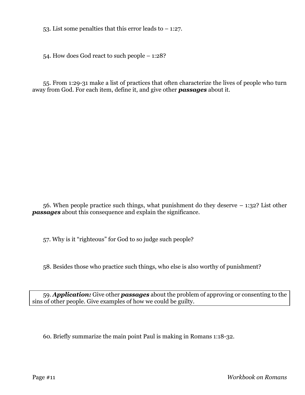53. List some penalties that this error leads to  $-1:27$ .

54. How does God react to such people – 1:28?

55. From 1:29-31 make a list of practices that often characterize the lives of people who turn away from God. For each item, define it, and give other *passages* about it.

56. When people practice such things, what punishment do they deserve – 1:32? List other *passages* about this consequence and explain the significance.

57. Why is it "righteous" for God to so judge such people?

58. Besides those who practice such things, who else is also worthy of punishment?

59. *Application:* Give other *passages* about the problem of approving or consenting to the sins of other people. Give examples of how we could be guilty.

60. Briefly summarize the main point Paul is making in Romans 1:18-32.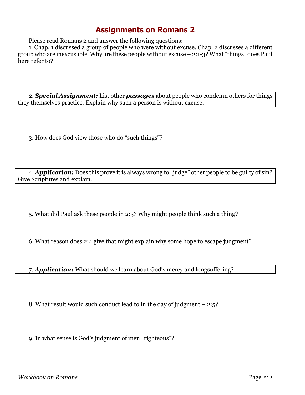## **Assignments on Romans 2**

Please read Romans 2 and answer the following questions:

1. Chap. 1 discussed a group of people who were without excuse. Chap. 2 discusses a different group who are inexcusable. Why are these people without excuse  $-2:1-3$ ? What "things" does Paul here refer to?

2. *Special Assignment:* List other *passages* about people who condemn others for things they themselves practice. Explain why such a person is without excuse.

3. How does God view those who do "such things"?

4. *Application:* Does this prove it is always wrong to "judge" other people to be guilty of sin? Give Scriptures and explain.

5. What did Paul ask these people in 2:3? Why might people think such a thing?

6. What reason does 2:4 give that might explain why some hope to escape judgment?

7. *Application:* What should we learn about God's mercy and longsuffering?

8. What result would such conduct lead to in the day of judgment – 2:5?

9. In what sense is God's judgment of men "righteous"?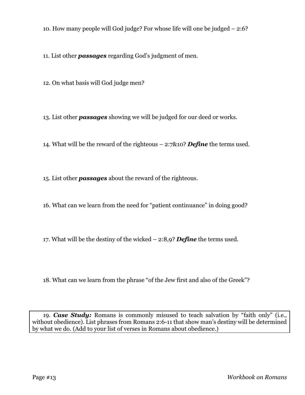10. How many people will God judge? For whose life will one be judged – 2:6?

11. List other *passages* regarding God's judgment of men.

12. On what basis will God judge men?

13. List other *passages* showing we will be judged for our deed or works.

14. What will be the reward of the righteous – 2:7&10? *Define* the terms used.

15. List other *passages* about the reward of the righteous.

16. What can we learn from the need for "patient continuance" in doing good?

17. What will be the destiny of the wicked – 2:8,9? *Define* the terms used.

18. What can we learn from the phrase "of the Jew first and also of the Greek"?

19. *Case Study:* Romans is commonly misused to teach salvation by "faith only" (i.e., without obedience). List phrases from Romans 2:6-11 that show man's destiny will be determined by what we do. (Add to your list of verses in Romans about obedience.)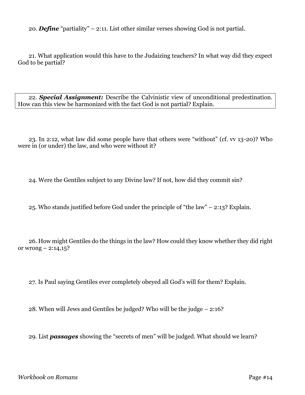20. *Define* "partiality" – 2:11. List other similar verses showing God is not partial.

21. What application would this have to the Judaizing teachers? In what way did they expect God to be partial?

22. *Special Assignment:* Describe the Calvinistic view of unconditional predestination. How can this view be harmonized with the fact God is not partial? Explain.

23. In 2:12, what law did some people have that others were "without" (cf. vv 13-20)? Who were in (or under) the law, and who were without it?

24. Were the Gentiles subject to any Divine law? If not, how did they commit sin?

25. Who stands justified before God under the principle of "the law" – 2:13? Explain.

26. How might Gentiles do the things in the law? How could they know whether they did right or wrong  $- 2:14,15$ ?

27. Is Paul saying Gentiles ever completely obeyed all God's will for them? Explain.

28. When will Jews and Gentiles be judged? Who will be the judge – 2:16?

29. List *passages* showing the "secrets of men" will be judged. What should we learn?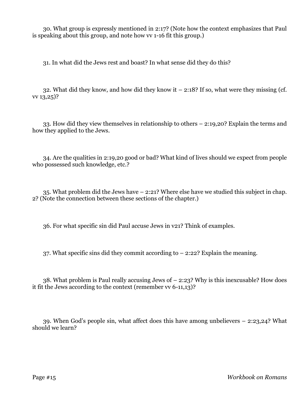30. What group is expressly mentioned in 2:17? (Note how the context emphasizes that Paul is speaking about this group, and note how vv 1-16 fit this group.)

31. In what did the Jews rest and boast? In what sense did they do this?

32. What did they know, and how did they know it  $-$  2:18? If so, what were they missing (cf. vv 13,25)?

33. How did they view themselves in relationship to others – 2:19,20? Explain the terms and how they applied to the Jews.

34. Are the qualities in 2:19,20 good or bad? What kind of lives should we expect from people who possessed such knowledge, etc.?

35. What problem did the Jews have – 2:21? Where else have we studied this subject in chap. 2? (Note the connection between these sections of the chapter.)

36. For what specific sin did Paul accuse Jews in v21? Think of examples.

37. What specific sins did they commit according to – 2:22? Explain the meaning.

38. What problem is Paul really accusing Jews of – 2:23? Why is this inexcusable? How does it fit the Jews according to the context (remember vv 6-11,13)?

39. When God's people sin, what affect does this have among unbelievers – 2:23,24? What should we learn?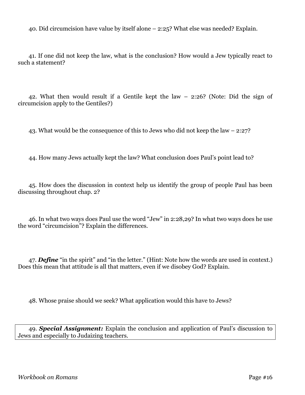40. Did circumcision have value by itself alone – 2:25? What else was needed? Explain.

41. If one did not keep the law, what is the conclusion? How would a Jew typically react to such a statement?

42. What then would result if a Gentile kept the law – 2:26? (Note: Did the sign of circumcision apply to the Gentiles?)

43. What would be the consequence of this to Jews who did not keep the law – 2:27?

44. How many Jews actually kept the law? What conclusion does Paul's point lead to?

45. How does the discussion in context help us identify the group of people Paul has been discussing throughout chap. 2?

46. In what two ways does Paul use the word "Jew" in 2:28,29? In what two ways does he use the word "circumcision"? Explain the differences.

47. *Define* "in the spirit" and "in the letter." (Hint: Note how the words are used in context.) Does this mean that attitude is all that matters, even if we disobey God? Explain.

48. Whose praise should we seek? What application would this have to Jews?

49. *Special Assignment:* Explain the conclusion and application of Paul's discussion to Jews and especially to Judaizing teachers.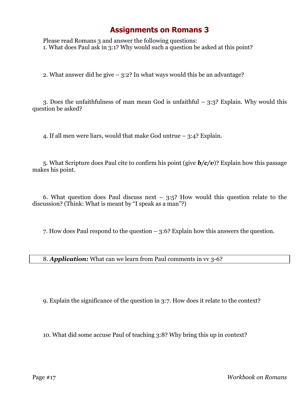## **Assignments on Romans 3**

Please read Romans 3 and answer the following questions: 1. What does Paul ask in 3:1? Why would such a question be asked at this point?

2. What answer did he give – 3:2? In what ways would this be an advantage?

3. Does the unfaithfulness of man mean God is unfaithful – 3:3? Explain. Why would this question be asked?

4. If all men were liars, would that make God untrue – 3:4? Explain.

5. What Scripture does Paul cite to confirm his point (give *b/c/v*)? Explain how this passage makes his point.

6. What question does Paul discuss next  $-$  3:5? How would this question relate to the discussion? (Think: What is meant by "I speak as a man"?)

7. How does Paul respond to the question – 3:6? Explain how this answers the question.

8. *Application:* What can we learn from Paul comments in vv 3-6?

9. Explain the significance of the question in 3:7. How does it relate to the context?

10. What did some accuse Paul of teaching 3:8? Why bring this up in context?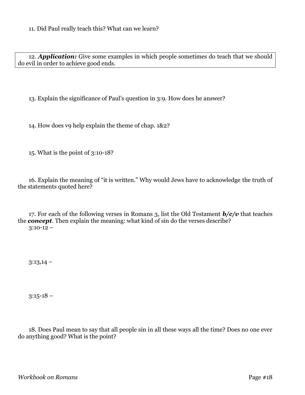12. *Application:* Give some examples in which people sometimes do teach that we should do evil in order to achieve good ends.

13. Explain the significance of Paul's question in 3:9. How does he answer?

14. How does v9 help explain the theme of chap. 1&2?

15. What is the point of 3:10-18?

16. Explain the meaning of "it is written." Why would Jews have to acknowledge the truth of the statements quoted here?

17. For each of the following verses in Romans 3, list the Old Testament *b/c/v* that teaches the *concept*. Then explain the meaning: what kind of sin do the verses describe?  $3:10-12$  –

 $3:13,14$  –

 $3:15-18$  –

18. Does Paul mean to say that all people sin in all these ways all the time? Does no one ever do anything good? What is the point?

*Workbook on Romans* Page #18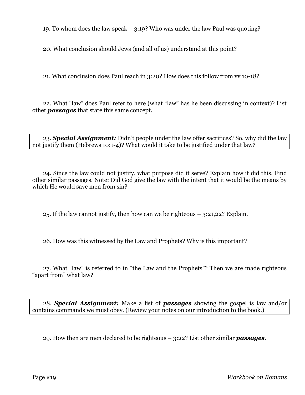19. To whom does the law speak – 3:19? Who was under the law Paul was quoting?

20. What conclusion should Jews (and all of us) understand at this point?

21. What conclusion does Paul reach in 3:20? How does this follow from vv 10-18?

22. What "law" does Paul refer to here (what "law" has he been discussing in context)? List other *passages* that state this same concept.

23. *Special Assignment:* Didn't people under the law offer sacrifices? So, why did the law not justify them (Hebrews 10:1-4)? What would it take to be justified under that law?

24. Since the law could not justify, what purpose did it serve? Explain how it did this. Find other similar passages. Note: Did God give the law with the intent that it would be the means by which He would save men from sin?

25. If the law cannot justify, then how can we be righteous – 3:21,22? Explain.

26. How was this witnessed by the Law and Prophets? Why is this important?

27. What "law" is referred to in "the Law and the Prophets"? Then we are made righteous "apart from" what law?

28. *Special Assignment:* Make a list of *passages* showing the gospel is law and/or contains commands we must obey. (Review your notes on our introduction to the book.)

29. How then are men declared to be righteous – 3:22? List other similar *passages*.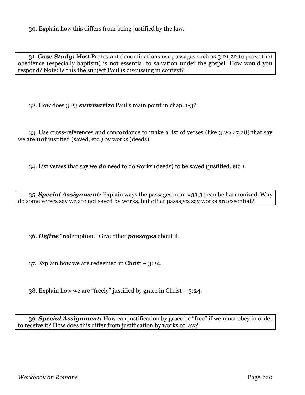30. Explain how this differs from being justified by the law.

31. *Case Study:* Most Protestant denominations use passages such as 3:21,22 to prove that obedience (especially baptism) is not essential to salvation under the gospel. How would you respond? Note: Is this the subject Paul is discussing in context?

32. How does 3:23 *summarize* Paul's main point in chap. 1-3?

33. Use cross-references and concordance to make a list of verses (like 3:20,27,28) that say we are *not* justified (saved, etc.) by works (deeds).

34. List verses that say we *do* need to do works (deeds) to be saved (justified, etc.).

35. *Special Assignment:* Explain ways the passages from #33,34 can be harmonized. Why do some verses say we are not saved by works, but other passages say works are essential?

36. *Define* "redemption." Give other *passages* about it.

37. Explain how we are redeemed in Christ – 3:24.

38. Explain how we are "freely" justified by grace in Christ – 3:24.

39. *Special Assignment:* How can justification by grace be "free" if we must obey in order to receive it? How does this differ from justification by works of law?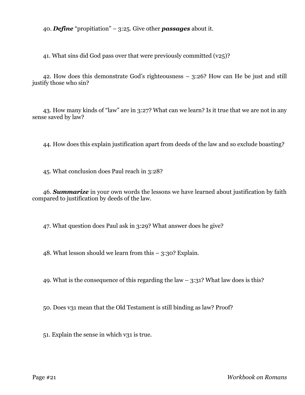40. *Define* "propitiation" – 3:25. Give other *passages* about it.

41. What sins did God pass over that were previously committed (v25)?

42. How does this demonstrate God's righteousness – 3:26? How can He be just and still justify those who sin?

43. How many kinds of "law" are in 3:27? What can we learn? Is it true that we are not in any sense saved by law?

44. How does this explain justification apart from deeds of the law and so exclude boasting?

45. What conclusion does Paul reach in 3:28?

46. *Summarize* in your own words the lessons we have learned about justification by faith compared to justification by deeds of the law.

47. What question does Paul ask in 3:29? What answer does he give?

48. What lesson should we learn from this  $-$  3:30? Explain.

49. What is the consequence of this regarding the law  $-$  3:31? What law does is this?

50. Does v31 mean that the Old Testament is still binding as law? Proof?

51. Explain the sense in which v31 is true.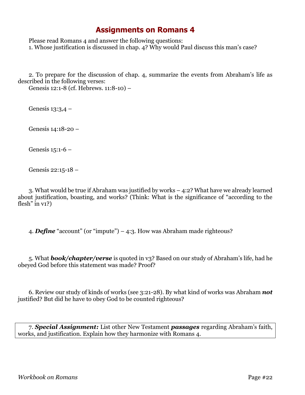### **Assignments on Romans 4**

Please read Romans 4 and answer the following questions: 1. Whose justification is discussed in chap. 4? Why would Paul discuss this man's case?

2. To prepare for the discussion of chap. 4, summarize the events from Abraham's life as described in the following verses:

Genesis 12:1-8 (cf. Hebrews. 11:8-10) –

Genesis 13:3,4 –

Genesis 14:18-20 –

Genesis 15:1-6 –

Genesis 22:15-18 –

3. What would be true if Abraham was justified by works – 4:2? What have we already learned about justification, boasting, and works? (Think: What is the significance of "according to the flesh" in  $v_1$ ?)

4. *Define* "account" (or "impute") – 4:3. How was Abraham made righteous?

5. What *book/chapter/verse* is quoted in v3? Based on our study of Abraham's life, had he obeyed God before this statement was made? Proof?

6. Review our study of kinds of works (see 3:21-28). By what kind of works was Abraham *not* justified? But did he have to obey God to be counted righteous?

7. *Special Assignment:* List other New Testament *passages* regarding Abraham's faith, works, and justification. Explain how they harmonize with Romans 4.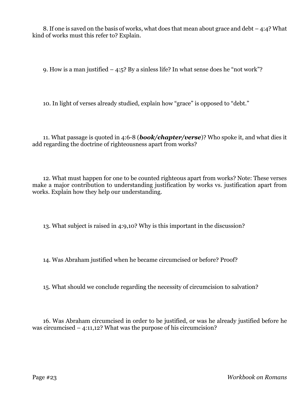8. If one is saved on the basis of works, what does that mean about grace and debt – 4:4? What kind of works must this refer to? Explain.

9. How is a man justified – 4:5? By a sinless life? In what sense does he "not work"?

10. In light of verses already studied, explain how "grace" is opposed to "debt."

11. What passage is quoted in 4:6-8 (*book/chapter/verse*)? Who spoke it, and what dies it add regarding the doctrine of righteousness apart from works?

12. What must happen for one to be counted righteous apart from works? Note: These verses make a major contribution to understanding justification by works vs. justification apart from works. Explain how they help our understanding.

13. What subject is raised in 4:9,10? Why is this important in the discussion?

14. Was Abraham justified when he became circumcised or before? Proof?

15. What should we conclude regarding the necessity of circumcision to salvation?

16. Was Abraham circumcised in order to be justified, or was he already justified before he was circumcised – 4:11,12? What was the purpose of his circumcision?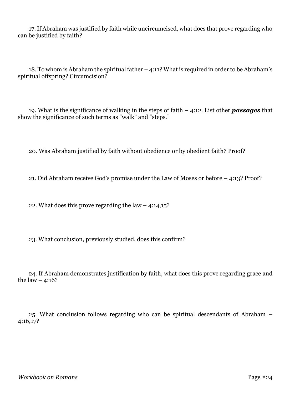17. If Abraham was justified by faith while uncircumcised, what does that prove regarding who can be justified by faith?

18. To whom is Abraham the spiritual father – 4:11? What is required in order to be Abraham's spiritual offspring? Circumcision?

19. What is the significance of walking in the steps of faith – 4:12. List other *passages* that show the significance of such terms as "walk" and "steps."

20. Was Abraham justified by faith without obedience or by obedient faith? Proof?

21. Did Abraham receive God's promise under the Law of Moses or before – 4:13? Proof?

22. What does this prove regarding the law  $-$  4:14,15?

23. What conclusion, previously studied, does this confirm?

24. If Abraham demonstrates justification by faith, what does this prove regarding grace and the law  $-4:16?$ 

25. What conclusion follows regarding who can be spiritual descendants of Abraham – 4:16,17?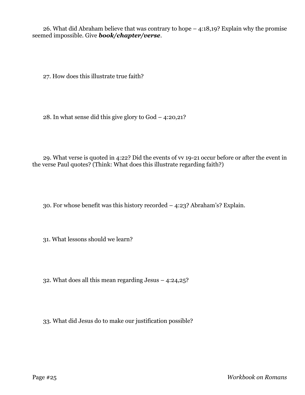26. What did Abraham believe that was contrary to hope – 4:18,19? Explain why the promise seemed impossible. Give *book/chapter/verse*.

27. How does this illustrate true faith?

28. In what sense did this give glory to God – 4:20,21?

29. What verse is quoted in 4:22? Did the events of vv 19-21 occur before or after the event in the verse Paul quotes? (Think: What does this illustrate regarding faith?)

30. For whose benefit was this history recorded – 4:23? Abraham's? Explain.

31. What lessons should we learn?

32. What does all this mean regarding Jesus – 4:24,25?

33. What did Jesus do to make our justification possible?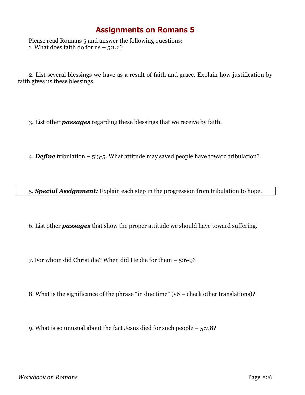## **Assignments on Romans 5**

Please read Romans 5 and answer the following questions: 1. What does faith do for us  $-5:1,2$ ?

2. List several blessings we have as a result of faith and grace. Explain how justification by faith gives us these blessings.

3. List other *passages* regarding these blessings that we receive by faith.

4. *Define* tribulation – 5:3-5. What attitude may saved people have toward tribulation?

5. *Special Assignment:* Explain each step in the progression from tribulation to hope.

6. List other *passages* that show the proper attitude we should have toward suffering.

7. For whom did Christ die? When did He die for them – 5:6-9?

8. What is the significance of the phrase "in due time" (v6 – check other translations)?

9. What is so unusual about the fact Jesus died for such people – 5:7,8?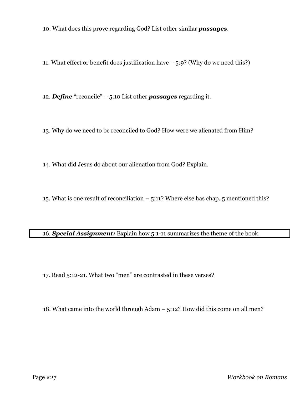10. What does this prove regarding God? List other similar *passages*.

11. What effect or benefit does justification have  $-5:9$ ? (Why do we need this?)

12. *Define* "reconcile" – 5:10 List other *passages* regarding it.

13. Why do we need to be reconciled to God? How were we alienated from Him?

14. What did Jesus do about our alienation from God? Explain.

15. What is one result of reconciliation  $-5:11$ ? Where else has chap. 5 mentioned this?

### 16. *Special Assignment:* Explain how 5:1-11 summarizes the theme of the book.

17. Read 5:12-21. What two "men" are contrasted in these verses?

18. What came into the world through Adam – 5:12? How did this come on all men?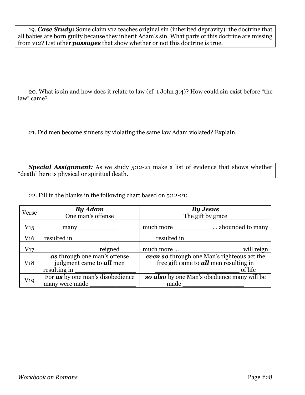19. *Case Study:* Some claim v12 teaches original sin (inherited depravity): the doctrine that all babies are born guilty because they inherit Adam's sin. What parts of this doctrine are missing from v12? List other *passages* that show whether or not this doctrine is true.

20. What is sin and how does it relate to law (cf. 1 John 3:4)? How could sin exist before "the law" came?

21. Did men become sinners by violating the same law Adam violated? Explain.

*Special Assignment:* As we study 5:12-21 make a list of evidence that shows whether "death" here is physical or spiritual death.

22. Fill in the blanks in the following chart based on 5:12-21:

| Verse           | <b>By Adam</b><br>One man's offense                                             | <b>By Jesus</b><br>The gift by grace                                                               |
|-----------------|---------------------------------------------------------------------------------|----------------------------------------------------------------------------------------------------|
| $\rm V_{15}$    | $many_$                                                                         | much more<br>abounded to many                                                                      |
| V <sub>16</sub> | resulted in                                                                     | resulted in                                                                                        |
| V17             | reigned                                                                         | will reign<br>much more $\qquad \qquad$                                                            |
| V18             | as through one man's offense<br>judgment came to <b>all</b> men<br>resulting in | even so through one Man's righteous act the<br>free gift came to $all$ men resulting in<br>of life |
| V19             | For <b>as</b> by one man's disobedience<br>many were made                       | so also by one Man's obedience many will be<br>made                                                |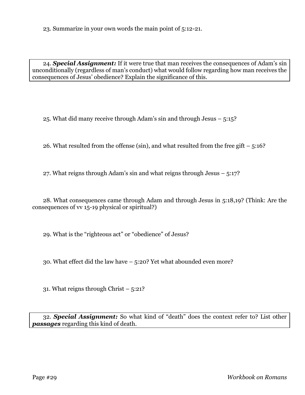23. Summarize in your own words the main point of 5:12-21.

24. *Special Assignment:* If it were true that man receives the consequences of Adam's sin unconditionally (regardless of man's conduct) what would follow regarding how man receives the consequences of Jesus' obedience? Explain the significance of this.

25. What did many receive through Adam's sin and through Jesus – 5:15?

26. What resulted from the offense (sin), and what resulted from the free gift  $-5:16$ ?

27. What reigns through Adam's sin and what reigns through Jesus – 5:17?

28. What consequences came through Adam and through Jesus in 5:18,19? (Think: Are the consequences of vv 15-19 physical or spiritual?)

29. What is the "righteous act" or "obedience" of Jesus?

30. What effect did the law have – 5:20? Yet what abounded even more?

31. What reigns through Christ – 5:21?

32. *Special Assignment:* So what kind of "death" does the context refer to? List other *passages* regarding this kind of death.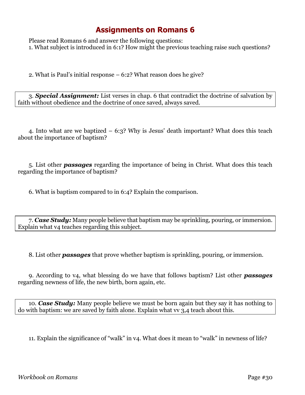## **Assignments on Romans 6**

Please read Romans 6 and answer the following questions: 1. What subject is introduced in 6:1? How might the previous teaching raise such questions?

2. What is Paul's initial response – 6:2? What reason does he give?

3. *Special Assignment:* List verses in chap. 6 that contradict the doctrine of salvation by faith without obedience and the doctrine of once saved, always saved.

4. Into what are we baptized – 6:3? Why is Jesus' death important? What does this teach about the importance of baptism?

5. List other *passages* regarding the importance of being in Christ. What does this teach regarding the importance of baptism?

6. What is baptism compared to in 6:4? Explain the comparison.

7. *Case Study:* Many people believe that baptism may be sprinkling, pouring, or immersion. Explain what v4 teaches regarding this subject.

8. List other *passages* that prove whether baptism is sprinkling, pouring, or immersion.

9. According to v4, what blessing do we have that follows baptism? List other *passages* regarding newness of life, the new birth, born again, etc.

10. *Case Study:* Many people believe we must be born again but they say it has nothing to do with baptism: we are saved by faith alone. Explain what vv 3,4 teach about this.

11. Explain the significance of "walk" in v4. What does it mean to "walk" in newness of life?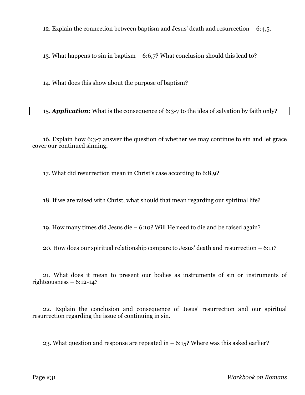12. Explain the connection between baptism and Jesus' death and resurrection – 6:4,5.

13. What happens to sin in baptism – 6:6,7? What conclusion should this lead to?

14. What does this show about the purpose of baptism?

15. *Application:* What is the consequence of 6:3-7 to the idea of salvation by faith only?

16. Explain how 6:3-7 answer the question of whether we may continue to sin and let grace cover our continued sinning.

17. What did resurrection mean in Christ's case according to 6:8,9?

18. If we are raised with Christ, what should that mean regarding our spiritual life?

19. How many times did Jesus die – 6:10? Will He need to die and be raised again?

20. How does our spiritual relationship compare to Jesus' death and resurrection – 6:11?

21. What does it mean to present our bodies as instruments of sin or instruments of righteousness  $-6:12-14$ ?

22. Explain the conclusion and consequence of Jesus' resurrection and our spiritual resurrection regarding the issue of continuing in sin.

23. What question and response are repeated in  $-6:15$ ? Where was this asked earlier?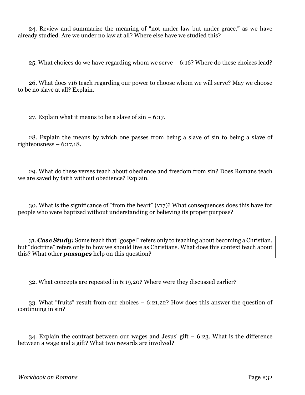24. Review and summarize the meaning of "not under law but under grace," as we have already studied. Are we under no law at all? Where else have we studied this?

25. What choices do we have regarding whom we serve – 6:16? Where do these choices lead?

26. What does v16 teach regarding our power to choose whom we will serve? May we choose to be no slave at all? Explain.

27. Explain what it means to be a slave of sin – 6:17.

28. Explain the means by which one passes from being a slave of sin to being a slave of righteousness  $-6:17,18$ .

29. What do these verses teach about obedience and freedom from sin? Does Romans teach we are saved by faith without obedience? Explain.

30. What is the significance of "from the heart" (v17)? What consequences does this have for people who were baptized without understanding or believing its proper purpose?

31. *Case Study:* Some teach that "gospel" refers only to teaching about becoming a Christian, but "doctrine" refers only to how we should live as Christians. What does this context teach about this? What other *passages* help on this question?

32. What concepts are repeated in 6:19,20? Where were they discussed earlier?

33. What "fruits" result from our choices – 6:21,22? How does this answer the question of continuing in sin?

34. Explain the contrast between our wages and Jesus' gift – 6:23. What is the difference between a wage and a gift? What two rewards are involved?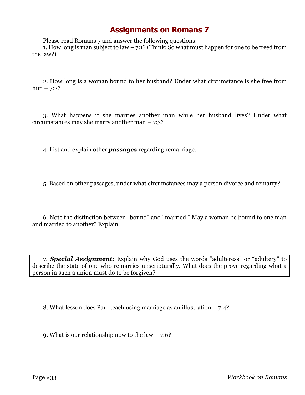## **Assignments on Romans 7**

Please read Romans 7 and answer the following questions:

1. How long is man subject to law  $-7:1$ ? (Think: So what must happen for one to be freed from the law?)

2. How long is a woman bound to her husband? Under what circumstance is she free from  $him - 7:2?$ 

3. What happens if she marries another man while her husband lives? Under what circumstances may she marry another man – 7:3?

4. List and explain other *passages* regarding remarriage.

5. Based on other passages, under what circumstances may a person divorce and remarry?

6. Note the distinction between "bound" and "married." May a woman be bound to one man and married to another? Explain.

7. *Special Assignment:* Explain why God uses the words "adulteress" or "adultery" to describe the state of one who remarries unscripturally. What does the prove regarding what a person in such a union must do to be forgiven?

8. What lesson does Paul teach using marriage as an illustration – 7:4?

9. What is our relationship now to the law  $-7:6$ ?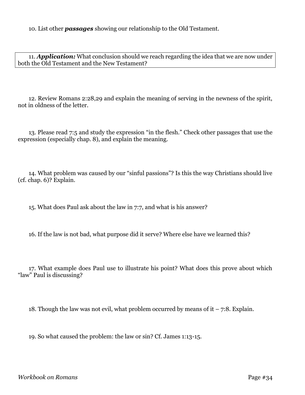10. List other *passages* showing our relationship to the Old Testament.

11. *Application:* What conclusion should we reach regarding the idea that we are now under both the Old Testament and the New Testament?

12. Review Romans 2:28,29 and explain the meaning of serving in the newness of the spirit, not in oldness of the letter.

13. Please read 7:5 and study the expression "in the flesh." Check other passages that use the expression (especially chap. 8), and explain the meaning.

14. What problem was caused by our "sinful passions"? Is this the way Christians should live (cf. chap. 6)? Explain.

15. What does Paul ask about the law in 7:7, and what is his answer?

16. If the law is not bad, what purpose did it serve? Where else have we learned this?

17. What example does Paul use to illustrate his point? What does this prove about which "law" Paul is discussing?

18. Though the law was not evil, what problem occurred by means of it  $-7:8$ . Explain.

19. So what caused the problem: the law or sin? Cf. James 1:13-15.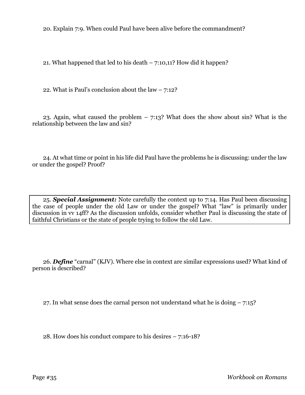20. Explain 7:9. When could Paul have been alive before the commandment?

21. What happened that led to his death  $-7:10,11$ ? How did it happen?

22. What is Paul's conclusion about the law  $-7:12?$ 

23. Again, what caused the problem  $-7:13$ ? What does the show about sin? What is the relationship between the law and sin?

24. At what time or point in his life did Paul have the problems he is discussing: under the law or under the gospel? Proof?

25. *Special Assignment:* Note carefully the context up to 7:14. Has Paul been discussing the case of people under the old Law or under the gospel? What "law" is primarily under discussion in vv 14ff? As the discussion unfolds, consider whether Paul is discussing the state of faithful Christians or the state of people trying to follow the old Law.

26. *Define* "carnal" (KJV). Where else in context are similar expressions used? What kind of person is described?

27. In what sense does the carnal person not understand what he is doing – 7:15?

28. How does his conduct compare to his desires – 7:16-18?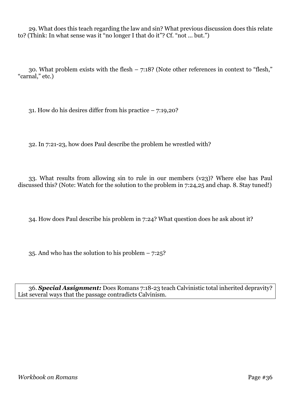29. What does this teach regarding the law and sin? What previous discussion does this relate to? (Think: In what sense was it "no longer I that do it"? Cf. "not ... but.")

30. What problem exists with the flesh – 7:18? (Note other references in context to "flesh," "carnal," etc.)

31. How do his desires differ from his practice – 7:19,20?

32. In 7:21-23, how does Paul describe the problem he wrestled with?

33. What results from allowing sin to rule in our members (v23)? Where else has Paul discussed this? (Note: Watch for the solution to the problem in 7:24,25 and chap. 8. Stay tuned!)

34. How does Paul describe his problem in 7:24? What question does he ask about it?

35. And who has the solution to his problem  $-7:25$ ?

36. *Special Assignment:* Does Romans 7:18-23 teach Calvinistic total inherited depravity? List several ways that the passage contradicts Calvinism.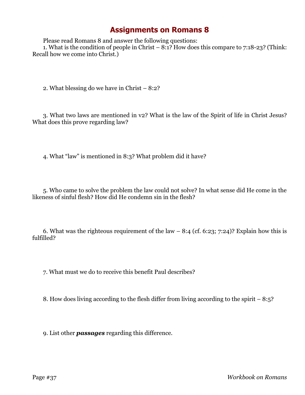Please read Romans 8 and answer the following questions: 1. What is the condition of people in Christ –  $8:1$ ? How does this compare to 7:18-23? (Think:

Recall how we come into Christ.)

2. What blessing do we have in Christ – 8:2?

3. What two laws are mentioned in v2? What is the law of the Spirit of life in Christ Jesus? What does this prove regarding law?

4. What "law" is mentioned in 8:3? What problem did it have?

5. Who came to solve the problem the law could not solve? In what sense did He come in the likeness of sinful flesh? How did He condemn sin in the flesh?

6. What was the righteous requirement of the law  $-8:4$  (cf. 6:23; 7:24)? Explain how this is fulfilled?

7. What must we do to receive this benefit Paul describes?

8. How does living according to the flesh differ from living according to the spirit – 8:5?

9. List other *passages* regarding this difference.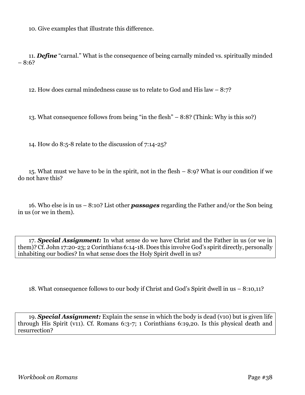10. Give examples that illustrate this difference.

11. *Define* "carnal." What is the consequence of being carnally minded vs. spiritually minded – 8:6?

12. How does carnal mindedness cause us to relate to God and His law – 8:7?

13. What consequence follows from being "in the flesh" – 8:8? (Think: Why is this so?)

14. How do 8:5-8 relate to the discussion of 7:14-25?

15. What must we have to be in the spirit, not in the flesh – 8:9? What is our condition if we do not have this?

16. Who else is in us – 8:10? List other *passages* regarding the Father and/or the Son being in us (or we in them).

17. *Special Assignment:* In what sense do we have Christ and the Father in us (or we in them)? Cf. John 17:20-23; 2 Corinthians 6:14-18. Does this involve God's spirit directly, personally inhabiting our bodies? In what sense does the Holy Spirit dwell in us?

18. What consequence follows to our body if Christ and God's Spirit dwell in us – 8:10,11?

19. *Special Assignment:* Explain the sense in which the body is dead (v10) but is given life through His Spirit (v11). Cf. Romans 6:3-7; 1 Corinthians 6:19,20. Is this physical death and resurrection?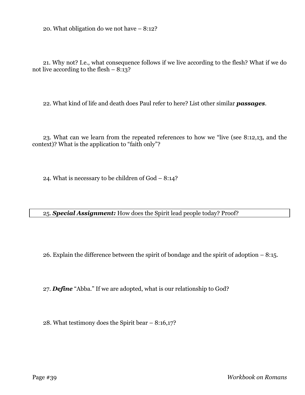20. What obligation do we not have – 8:12?

21. Why not? I.e., what consequence follows if we live according to the flesh? What if we do not live according to the flesh  $-8:13$ ?

22. What kind of life and death does Paul refer to here? List other similar *passages*.

23. What can we learn from the repeated references to how we "live (see 8:12,13, and the context)? What is the application to "faith only"?

24. What is necessary to be children of God – 8:14?

25. *Special Assignment:* How does the Spirit lead people today? Proof?

26. Explain the difference between the spirit of bondage and the spirit of adoption – 8:15.

27. *Define* "Abba." If we are adopted, what is our relationship to God?

28. What testimony does the Spirit bear – 8:16,17?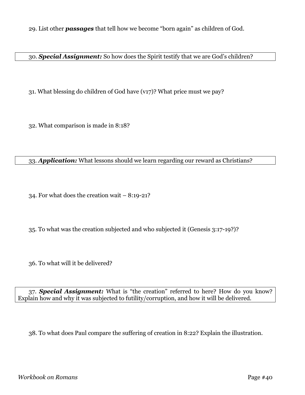29. List other *passages* that tell how we become "born again" as children of God.

30. *Special Assignment:* So how does the Spirit testify that we are God's children?

31. What blessing do children of God have (v17)? What price must we pay?

32. What comparison is made in 8:18?

#### 33. *Application:* What lessons should we learn regarding our reward as Christians?

34. For what does the creation wait – 8:19-21?

35. To what was the creation subjected and who subjected it (Genesis 3:17-19?)?

36. To what will it be delivered?

37. *Special Assignment:* What is "the creation" referred to here? How do you know? Explain how and why it was subjected to futility/corruption, and how it will be delivered.

38. To what does Paul compare the suffering of creation in 8:22? Explain the illustration.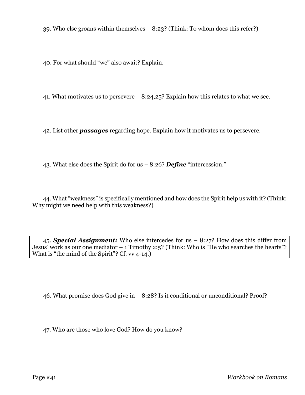39. Who else groans within themselves – 8:23? (Think: To whom does this refer?)

40. For what should "we" also await? Explain.

41. What motivates us to persevere – 8:24,25? Explain how this relates to what we see.

42. List other *passages* regarding hope. Explain how it motivates us to persevere.

43. What else does the Spirit do for us – 8:26? *Define* "intercession."

44. What "weakness" is specifically mentioned and how does the Spirit help us with it? (Think: Why might we need help with this weakness?)

45. *Special Assignment:* Who else intercedes for us – 8:27? How does this differ from Jesus' work as our one mediator  $-1$  Timothy 2:5? (Think: Who is "He who searches the hearts"? What is "the mind of the Spirit"? Cf. vv 4-14.

46. What promise does God give in – 8:28? Is it conditional or unconditional? Proof?

47. Who are those who love God? How do you know?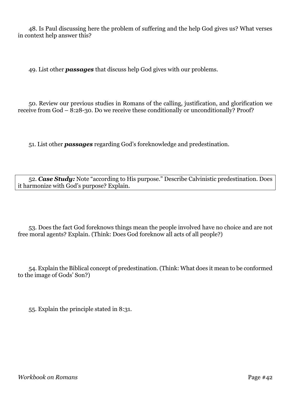48. Is Paul discussing here the problem of suffering and the help God gives us? What verses in context help answer this?

49. List other *passages* that discuss help God gives with our problems.

50. Review our previous studies in Romans of the calling, justification, and glorification we receive from God – 8:28-30. Do we receive these conditionally or unconditionally? Proof?

51. List other *passages* regarding God's foreknowledge and predestination.

52. *Case Study:* Note "according to His purpose." Describe Calvinistic predestination. Does it harmonize with God's purpose? Explain.

53. Does the fact God foreknows things mean the people involved have no choice and are not free moral agents? Explain. (Think: Does God foreknow all acts of all people?)

54. Explain the Biblical concept of predestination. (Think: What does it mean to be conformed to the image of Gods' Son?)

55. Explain the principle stated in 8:31.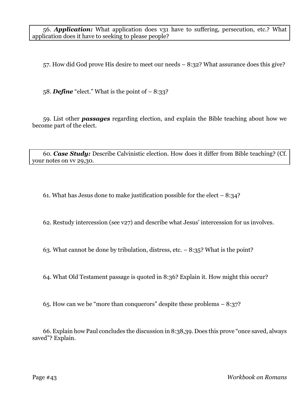56. *Application:* What application does v31 have to suffering, persecution, etc.? What application does it have to seeking to please people?

57. How did God prove His desire to meet our needs – 8:32? What assurance does this give?

58. **Define** "elect." What is the point of  $-8:33$ ?

59. List other *passages* regarding election, and explain the Bible teaching about how we become part of the elect.

60. *Case Study:* Describe Calvinistic election. How does it differ from Bible teaching? (Cf. your notes on vv 29,30.

61. What has Jesus done to make justification possible for the elect  $-8:34$ ?

62. Restudy intercession (see v27) and describe what Jesus' intercession for us involves.

63. What cannot be done by tribulation, distress, etc. – 8:35? What is the point?

64. What Old Testament passage is quoted in 8:36? Explain it. How might this occur?

65. How can we be "more than conquerors" despite these problems – 8:37?

66. Explain how Paul concludes the discussion in 8:38,39. Does this prove "once saved, always saved"? Explain.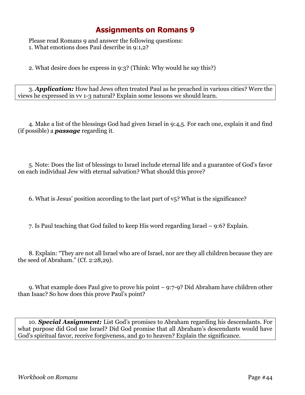Please read Romans 9 and answer the following questions: 1. What emotions does Paul describe in 9:1,2?

2. What desire does he express in 9:3? (Think: Why would he say this?)

3. *Application:* How had Jews often treated Paul as he preached in various cities? Were the views he expressed in vv 1-3 natural? Explain some lessons we should learn.

4. Make a list of the blessings God had given Israel in 9:4,5. For each one, explain it and find (if possible) a *passage* regarding it.

5. Note: Does the list of blessings to Israel include eternal life and a guarantee of God's favor on each individual Jew with eternal salvation? What should this prove?

6. What is Jesus' position according to the last part of v5? What is the significance?

7. Is Paul teaching that God failed to keep His word regarding Israel – 9:6? Explain.

8. Explain: "They are not all Israel who are of Israel, nor are they all children because they are the seed of Abraham." (Cf. 2:28,29).

9. What example does Paul give to prove his point – 9:7-9? Did Abraham have children other than Isaac? So how does this prove Paul's point?

10. *Special Assignment:* List God's promises to Abraham regarding his descendants. For what purpose did God use Israel? Did God promise that all Abraham's descendants would have God's spiritual favor, receive forgiveness, and go to heaven? Explain the significance.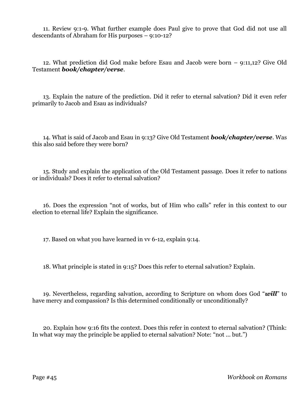11. Review 9:1-9. What further example does Paul give to prove that God did not use all descendants of Abraham for His purposes – 9:10-12?

12. What prediction did God make before Esau and Jacob were born – 9:11,12? Give Old Testament *book/chapter/verse*.

13. Explain the nature of the prediction. Did it refer to eternal salvation? Did it even refer primarily to Jacob and Esau as individuals?

14. What is said of Jacob and Esau in 9:13? Give Old Testament *book/chapter/verse*. Was this also said before they were born?

15. Study and explain the application of the Old Testament passage. Does it refer to nations or individuals? Does it refer to eternal salvation?

16. Does the expression "not of works, but of Him who calls" refer in this context to our election to eternal life? Explain the significance.

17. Based on what you have learned in vv 6-12, explain 9:14.

18. What principle is stated in 9:15? Does this refer to eternal salvation? Explain.

19. Nevertheless, regarding salvation, according to Scripture on whom does God "*will*" to have mercy and compassion? Is this determined conditionally or unconditionally?

20. Explain how 9:16 fits the context. Does this refer in context to eternal salvation? (Think: In what way may the principle be applied to eternal salvation? Note: "not ... but.")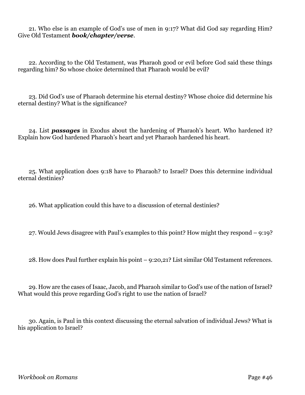21. Who else is an example of God's use of men in 9:17? What did God say regarding Him? Give Old Testament *book/chapter/verse*.

22. According to the Old Testament, was Pharaoh good or evil before God said these things regarding him? So whose choice determined that Pharaoh would be evil?

23. Did God's use of Pharaoh determine his eternal destiny? Whose choice did determine his eternal destiny? What is the significance?

24. List *passages* in Exodus about the hardening of Pharaoh's heart. Who hardened it? Explain how God hardened Pharaoh's heart and yet Pharaoh hardened his heart.

25. What application does 9:18 have to Pharaoh? to Israel? Does this determine individual eternal destinies?

26. What application could this have to a discussion of eternal destinies?

27. Would Jews disagree with Paul's examples to this point? How might they respond – 9:19?

28. How does Paul further explain his point – 9:20,21? List similar Old Testament references.

29. How are the cases of Isaac, Jacob, and Pharaoh similar to God's use of the nation of Israel? What would this prove regarding God's right to use the nation of Israel?

30. Again, is Paul in this context discussing the eternal salvation of individual Jews? What is his application to Israel?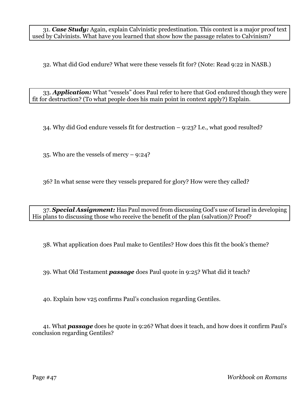31. *Case Study:* Again, explain Calvinistic predestination. This context is a major proof text used by Calvinists. What have you learned that show how the passage relates to Calvinism?

32. What did God endure? What were these vessels fit for? (Note: Read 9:22 in NASB.)

33. *Application:* What "vessels" does Paul refer to here that God endured though they were fit for destruction? (To what people does his main point in context apply?) Explain.

34. Why did God endure vessels fit for destruction – 9:23? I.e., what good resulted?

35. Who are the vessels of mercy – 9:24?

36? In what sense were they vessels prepared for glory? How were they called?

37. *Special Assignment:* Has Paul moved from discussing God's use of Israel in developing His plans to discussing those who receive the benefit of the plan (salvation)? Proof?

38. What application does Paul make to Gentiles? How does this fit the book's theme?

39. What Old Testament *passage* does Paul quote in 9:25? What did it teach?

40. Explain how v25 confirms Paul's conclusion regarding Gentiles.

41. What *passage* does he quote in 9:26? What does it teach, and how does it confirm Paul's conclusion regarding Gentiles?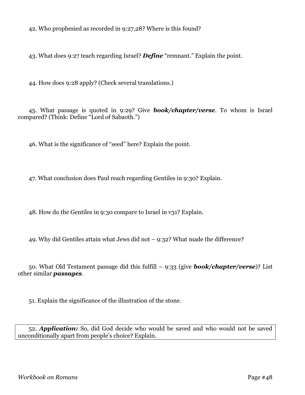42. Who prophesied as recorded in 9:27,28? Where is this found?

43. What does 9:27 teach regarding Israel? *Define* "remnant." Explain the point.

44. How does 9:28 apply? (Check several translations.)

45. What passage is quoted in 9:29? Give *book/chapter/verse*. To whom is Israel compared? (Think: Define "Lord of Sabaoth.")

46. What is the significance of "seed" here? Explain the point.

47. What conclusion does Paul reach regarding Gentiles in 9:30? Explain.

48. How do the Gentiles in 9:30 compare to Israel in v31? Explain.

49. Why did Gentiles attain what Jews did not – 9:32? What made the difference?

50. What Old Testament passage did this fulfill – 9:33 (give *book/chapter/verse*)? List other similar *passages*.

51. Explain the significance of the illustration of the stone.

52. *Application:* So, did God decide who would be saved and who would not be saved unconditionally apart from people's choice? Explain.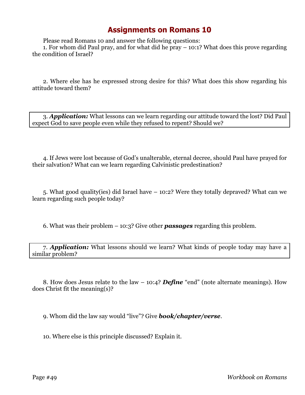Please read Romans 10 and answer the following questions:

1. For whom did Paul pray, and for what did he pray – 10:1? What does this prove regarding the condition of Israel?

2. Where else has he expressed strong desire for this? What does this show regarding his attitude toward them?

3. *Application:* What lessons can we learn regarding our attitude toward the lost? Did Paul expect God to save people even while they refused to repent? Should we?

4. If Jews were lost because of God's unalterable, eternal decree, should Paul have prayed for their salvation? What can we learn regarding Calvinistic predestination?

5. What good quality(ies) did Israel have – 10:2? Were they totally depraved? What can we learn regarding such people today?

6. What was their problem – 10:3? Give other *passages* regarding this problem.

7. *Application:* What lessons should we learn? What kinds of people today may have a similar problem?

8. How does Jesus relate to the law – 10:4? *Define* "end" (note alternate meanings). How does Christ fit the meaning(s)?

9. Whom did the law say would "live"? Give *book/chapter/verse*.

10. Where else is this principle discussed? Explain it.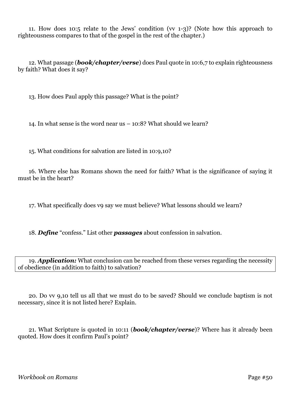11. How does 10:5 relate to the Jews' condition (vv 1-3)? (Note how this approach to righteousness compares to that of the gospel in the rest of the chapter.)

12. What passage (*book/chapter/verse*) does Paul quote in 10:6,7 to explain righteousness by faith? What does it say?

13. How does Paul apply this passage? What is the point?

14. In what sense is the word near us – 10:8? What should we learn?

15. What conditions for salvation are listed in 10:9,10?

16. Where else has Romans shown the need for faith? What is the significance of saying it must be in the heart?

17. What specifically does v9 say we must believe? What lessons should we learn?

18. *Define* "confess." List other *passages* about confession in salvation.

19. *Application:* What conclusion can be reached from these verses regarding the necessity of obedience (in addition to faith) to salvation?

20. Do vv 9,10 tell us all that we must do to be saved? Should we conclude baptism is not necessary, since it is not listed here? Explain.

21. What Scripture is quoted in 10:11 (*book/chapter/verse*)? Where has it already been quoted. How does it confirm Paul's point?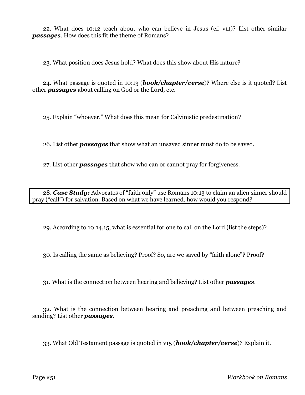22. What does 10:12 teach about who can believe in Jesus (cf. v11)? List other similar *passages*. How does this fit the theme of Romans?

23. What position does Jesus hold? What does this show about His nature?

24. What passage is quoted in 10:13 (*book/chapter/verse*)? Where else is it quoted? List other *passages* about calling on God or the Lord, etc.

25. Explain "whoever." What does this mean for Calvinistic predestination?

26. List other *passages* that show what an unsaved sinner must do to be saved.

27. List other *passages* that show who can or cannot pray for forgiveness.

28. *Case Study:* Advocates of "faith only" use Romans 10:13 to claim an alien sinner should pray ("call") for salvation. Based on what we have learned, how would you respond?

29. According to 10:14,15, what is essential for one to call on the Lord (list the steps)?

30. Is calling the same as believing? Proof? So, are we saved by "faith alone"? Proof?

31. What is the connection between hearing and believing? List other *passages*.

32. What is the connection between hearing and preaching and between preaching and sending? List other *passages*.

33. What Old Testament passage is quoted in v15 (*book/chapter/verse*)? Explain it.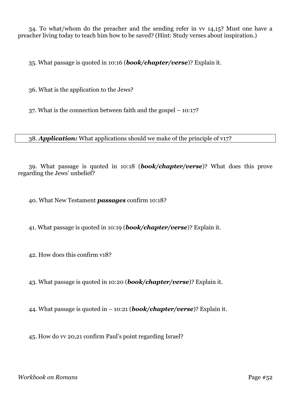34. To what/whom do the preacher and the sending refer in vv 14,15? Must one have a preacher living today to teach him how to be saved? (Hint: Study verses about inspiration.)

35. What passage is quoted in 10:16 (*book/chapter/verse*)? Explain it.

36. What is the application to the Jews?

37. What is the connection between faith and the gospel – 10:17?

38. *Application:* What applications should we make of the principle of v17?

39. What passage is quoted in 10:18 (*book/chapter/verse*)? What does this prove regarding the Jews' unbelief?

40. What New Testament *passages* confirm 10:18?

41. What passage is quoted in 10:19 (*book/chapter/verse*)? Explain it.

42. How does this confirm v18?

43. What passage is quoted in 10:20 (*book/chapter/verse*)? Explain it.

44. What passage is quoted in – 10:21 (*book/chapter/verse*)? Explain it.

45. How do vv 20,21 confirm Paul's point regarding Israel?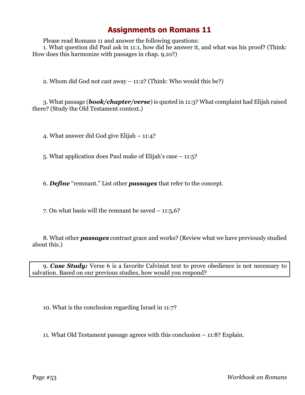Please read Romans 11 and answer the following questions:

1. What question did Paul ask in 11:1, how did he answer it, and what was his proof? (Think: How does this harmonize with passages in chap. 9,10?)

2. Whom did God not cast away – 11:2? (Think: Who would this be?)

3. What passage (*book/chapter/verse*) is quoted in 11:3? What complaint had Elijah raised there? (Study the Old Testament context.)

4. What answer did God give Elijah – 11:4?

5. What application does Paul make of Elijah's case – 11:5?

6. *Define* "remnant." List other *passages* that refer to the concept.

7. On what basis will the remnant be saved  $-11:5,6$ ?

8. What other *passages* contrast grace and works? (Review what we have previously studied about this.)

9. *Case Study:* Verse 6 is a favorite Calvinist text to prove obedience is not necessary to salvation. Based on our previous studies, how would you respond?

10. What is the conclusion regarding Israel in 11:7?

11. What Old Testament passage agrees with this conclusion – 11:8? Explain.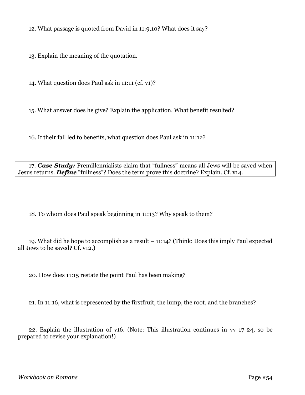12. What passage is quoted from David in 11:9,10? What does it say?

13. Explain the meaning of the quotation.

14. What question does Paul ask in 11:11 (cf. v1)?

15. What answer does he give? Explain the application. What benefit resulted?

16. If their fall led to benefits, what question does Paul ask in 11:12?

17. *Case Study:* Premillennialists claim that "fullness" means all Jews will be saved when Jesus returns. *Define* "fullness"? Does the term prove this doctrine? Explain. Cf. v14.

18. To whom does Paul speak beginning in 11:13? Why speak to them?

19. What did he hope to accomplish as a result – 11:14? (Think: Does this imply Paul expected all Jews to be saved? Cf. v12.)

20. How does 11:15 restate the point Paul has been making?

21. In 11:16, what is represented by the firstfruit, the lump, the root, and the branches?

22. Explain the illustration of v16. (Note: This illustration continues in vv 17-24, so be prepared to revise your explanation!)

*Workbook on Romans* Page #54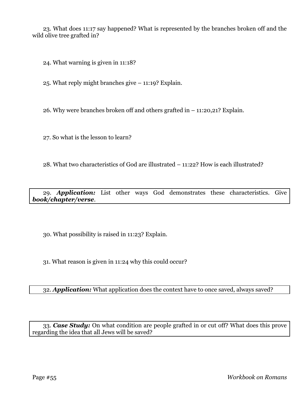23. What does 11:17 say happened? What is represented by the branches broken off and the wild olive tree grafted in?

24. What warning is given in 11:18?

25. What reply might branches give – 11:19? Explain.

26. Why were branches broken off and others grafted in – 11:20,21? Explain.

27. So what is the lesson to learn?

28. What two characteristics of God are illustrated – 11:22? How is each illustrated?

29. *Application:* List other ways God demonstrates these characteristics. Give *book/chapter/verse*.

30. What possibility is raised in 11:23? Explain.

31. What reason is given in 11:24 why this could occur?

32. *Application:* What application does the context have to once saved, always saved?

33. *Case Study:* On what condition are people grafted in or cut off? What does this prove regarding the idea that all Jews will be saved?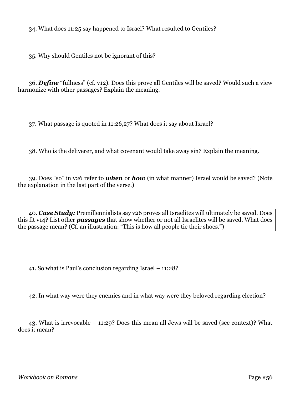34. What does 11:25 say happened to Israel? What resulted to Gentiles?

35. Why should Gentiles not be ignorant of this?

36. *Define* "fullness" (cf. v12). Does this prove all Gentiles will be saved? Would such a view harmonize with other passages? Explain the meaning.

37. What passage is quoted in 11:26,27? What does it say about Israel?

38. Who is the deliverer, and what covenant would take away sin? Explain the meaning.

39. Does "so" in v26 refer to *when* or *how* (in what manner) Israel would be saved? (Note the explanation in the last part of the verse.)

40. *Case Study:* Premillennialists say v26 proves all Israelites will ultimately be saved. Does this fit v14? List other *passages* that show whether or not all Israelites will be saved. What does the passage mean? (Cf. an illustration: "This is how all people tie their shoes.")

41. So what is Paul's conclusion regarding Israel – 11:28?

42. In what way were they enemies and in what way were they beloved regarding election?

43. What is irrevocable – 11:29? Does this mean all Jews will be saved (see context)? What does it mean?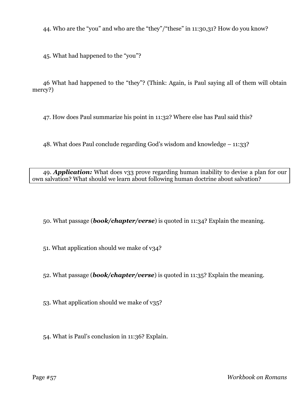44. Who are the "you" and who are the "they"/"these" in 11:30,31? How do you know?

45. What had happened to the "you"?

46 What had happened to the "they"? (Think: Again, is Paul saying all of them will obtain mercy?)

47. How does Paul summarize his point in 11:32? Where else has Paul said this?

48. What does Paul conclude regarding God's wisdom and knowledge – 11:33?

49. *Application:* What does v33 prove regarding human inability to devise a plan for our own salvation? What should we learn about following human doctrine about salvation?

50. What passage (*book/chapter/verse*) is quoted in 11:34? Explain the meaning.

51. What application should we make of v34?

52. What passage (*book/chapter/verse*) is quoted in 11:35? Explain the meaning.

53. What application should we make of v35?

54. What is Paul's conclusion in 11:36? Explain.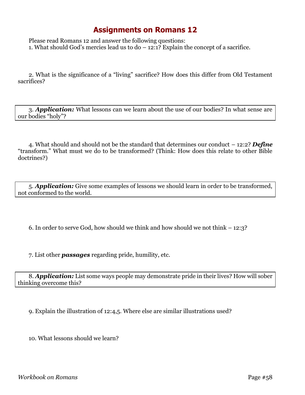Please read Romans 12 and answer the following questions: 1. What should God's mercies lead us to  $do - 12:1?$  Explain the concept of a sacrifice.

2. What is the significance of a "living" sacrifice? How does this differ from Old Testament sacrifices?

3. *Application:* What lessons can we learn about the use of our bodies? In what sense are our bodies "holy"?

4. What should and should not be the standard that determines our conduct – 12:2? *Define* "transform." What must we do to be transformed? (Think: How does this relate to other Bible doctrines?)

5. *Application:* Give some examples of lessons we should learn in order to be transformed, not conformed to the world.

6. In order to serve God, how should we think and how should we not think – 12:3?

7. List other *passages* regarding pride, humility, etc.

8. *Application:* List some ways people may demonstrate pride in their lives? How will sober thinking overcome this?

9. Explain the illustration of 12:4,5. Where else are similar illustrations used?

10. What lessons should we learn?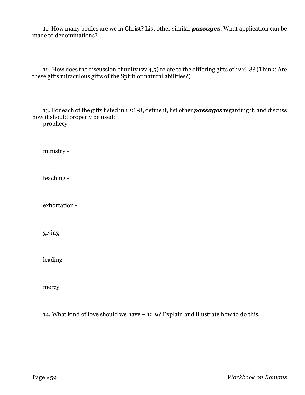11. How many bodies are we in Christ? List other similar *passages*. What application can be made to denominations?

12. How does the discussion of unity (vv 4,5) relate to the differing gifts of 12:6-8? (Think: Are these gifts miraculous gifts of the Spirit or natural abilities?)

13. For each of the gifts listed in 12:6-8, define it, list other *passages* regarding it, and discuss how it should properly be used:

prophecy -

ministry -

teaching -

exhortation -

giving -

leading -

mercy

14. What kind of love should we have – 12:9? Explain and illustrate how to do this.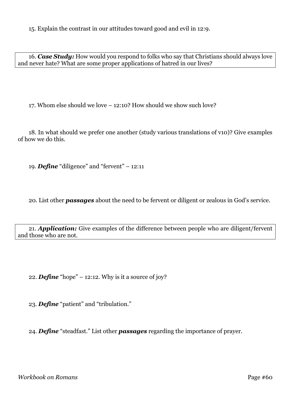15. Explain the contrast in our attitudes toward good and evil in 12:9.

16. *Case Study:* How would you respond to folks who say that Christians should always love and never hate? What are some proper applications of hatred in our lives?

17. Whom else should we love – 12:10? How should we show such love?

18. In what should we prefer one another (study various translations of v10)? Give examples of how we do this.

19. *Define* "diligence" and "fervent" – 12:11

20. List other *passages* about the need to be fervent or diligent or zealous in God's service.

21. *Application:* Give examples of the difference between people who are diligent/fervent and those who are not.

22. *Define* "hope" – 12:12. Why is it a source of joy?

23. *Define* "patient" and "tribulation."

24. *Define* "steadfast." List other *passages* regarding the importance of prayer.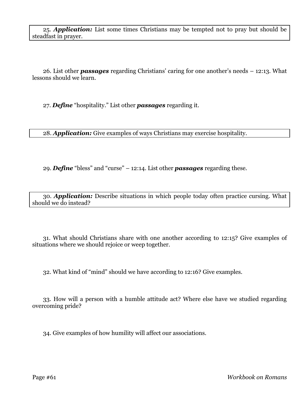25. *Application:* List some times Christians may be tempted not to pray but should be steadfast in prayer.

26. List other *passages* regarding Christians' caring for one another's needs – 12:13. What lessons should we learn.

27. *Define* "hospitality." List other *passages* regarding it.

28. *Application:* Give examples of ways Christians may exercise hospitality.

29. *Define* "bless" and "curse" – 12:14. List other *passages* regarding these.

30. *Application:* Describe situations in which people today often practice cursing. What should we do instead?

31. What should Christians share with one another according to 12:15? Give examples of situations where we should rejoice or weep together.

32. What kind of "mind" should we have according to 12:16? Give examples.

33. How will a person with a humble attitude act? Where else have we studied regarding overcoming pride?

34. Give examples of how humility will affect our associations.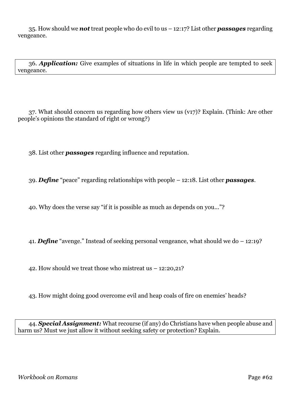35. How should we *not* treat people who do evil to us – 12:17? List other *passages* regarding vengeance.

36. *Application:* Give examples of situations in life in which people are tempted to seek vengeance.

37. What should concern us regarding how others view us (v17)? Explain. (Think: Are other people's opinions the standard of right or wrong?)

38. List other *passages* regarding influence and reputation.

39. *Define* "peace" regarding relationships with people – 12:18. List other *passages*.

40. Why does the verse say "if it is possible as much as depends on you..."?

41. *Define* "avenge." Instead of seeking personal vengeance, what should we do – 12:19?

42. How should we treat those who mistreat us – 12:20,21?

43. How might doing good overcome evil and heap coals of fire on enemies' heads?

44. *Special Assignment:* What recourse (if any) do Christians have when people abuse and harm us? Must we just allow it without seeking safety or protection? Explain.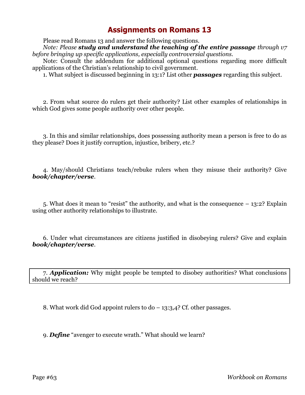Please read Romans 13 and answer the following questions.

*Note: Please study and understand the teaching of the entire passage through v7 before bringing up specific applications, especially controversial questions.*

Note: Consult the addendum for additional optional questions regarding more difficult applications of the Christian's relationship to civil government.

1. What subject is discussed beginning in 13:1? List other *passages* regarding this subject.

2. From what source do rulers get their authority? List other examples of relationships in which God gives some people authority over other people.

3. In this and similar relationships, does possessing authority mean a person is free to do as they please? Does it justify corruption, injustice, bribery, etc.?

4. May/should Christians teach/rebuke rulers when they misuse their authority? Give *book/chapter/verse*.

5. What does it mean to "resist" the authority, and what is the consequence – 13:2? Explain using other authority relationships to illustrate.

6. Under what circumstances are citizens justified in disobeying rulers? Give and explain *book/chapter/verse*.

7. *Application:* Why might people be tempted to disobey authorities? What conclusions should we reach?

8. What work did God appoint rulers to  $d_0 - 13:3,4$ ? Cf. other passages.

9. *Define* "avenger to execute wrath." What should we learn?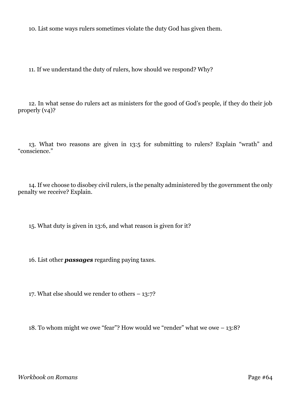10. List some ways rulers sometimes violate the duty God has given them.

11. If we understand the duty of rulers, how should we respond? Why?

12. In what sense do rulers act as ministers for the good of God's people, if they do their job properly (v4)?

13. What two reasons are given in 13:5 for submitting to rulers? Explain "wrath" and "conscience."

14. If we choose to disobey civil rulers, is the penalty administered by the government the only penalty we receive? Explain.

15. What duty is given in 13:6, and what reason is given for it?

16. List other *passages* regarding paying taxes.

17. What else should we render to others – 13:7?

18. To whom might we owe "fear"? How would we "render" what we owe – 13:8?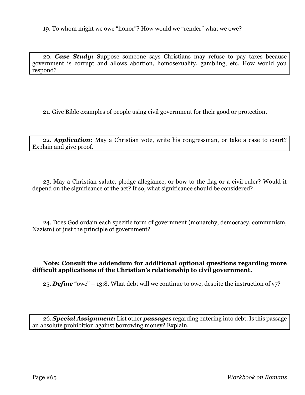19. To whom might we owe "honor"? How would we "render" what we owe?

20. *Case Study:* Suppose someone says Christians may refuse to pay taxes because government is corrupt and allows abortion, homosexuality, gambling, etc. How would you respond?

21. Give Bible examples of people using civil government for their good or protection.

22. *Application:* May a Christian vote, write his congressman, or take a case to court? Explain and give proof.

23. May a Christian salute, pledge allegiance, or bow to the flag or a civil ruler? Would it depend on the significance of the act? If so, what significance should be considered?

24. Does God ordain each specific form of government (monarchy, democracy, communism, Nazism) or just the principle of government?

#### **Note: Consult the addendum for additional optional questions regarding more difficult applications of the Christian's relationship to civil government.**

25. *Define* "owe" – 13:8. What debt will we continue to owe, despite the instruction of v7?

26. *Special Assignment:* List other *passages* regarding entering into debt. Is this passage an absolute prohibition against borrowing money? Explain.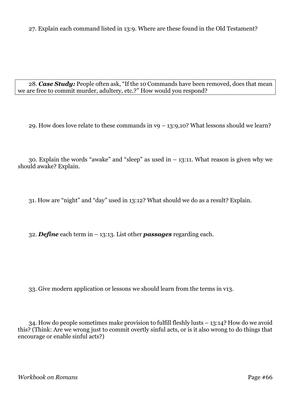27. Explain each command listed in 13:9. Where are these found in the Old Testament?

28. *Case Study:* People often ask, "If the 10 Commands have been removed, does that mean we are free to commit murder, adultery, etc.?" How would you respond?

29. How does love relate to these commands in  $v9 - 13:9,10$ ? What lessons should we learn?

30. Explain the words "awake" and "sleep" as used in  $-13:11$ . What reason is given why we should awake? Explain.

31. How are "night" and "day" used in 13:12? What should we do as a result? Explain.

32. *Define* each term in – 13:13. List other *passages* regarding each.

33. Give modern application or lessons we should learn from the terms in v13.

34. How do people sometimes make provision to fulfill fleshly lusts – 13:14? How do we avoid this? (Think: Are we wrong just to commit overtly sinful acts, or is it also wrong to do things that encourage or enable sinful acts?)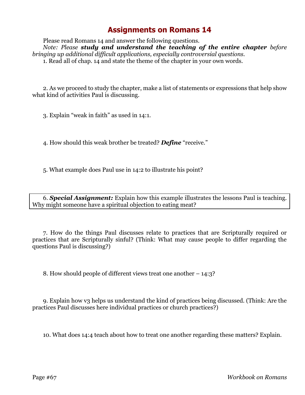Please read Romans 14 and answer the following questions. *Note: Please study and understand the teaching of the entire chapter before bringing up additional difficult applications, especially controversial questions.* 1. Read all of chap. 14 and state the theme of the chapter in your own words.

2. As we proceed to study the chapter, make a list of statements or expressions that help show what kind of activities Paul is discussing.

3. Explain "weak in faith" as used in 14:1.

4. How should this weak brother be treated? *Define* "receive."

5. What example does Paul use in 14:2 to illustrate his point?

6. *Special Assignment:* Explain how this example illustrates the lessons Paul is teaching. Why might someone have a spiritual objection to eating meat?

7. How do the things Paul discusses relate to practices that are Scripturally required or practices that are Scripturally sinful? (Think: What may cause people to differ regarding the questions Paul is discussing?)

8. How should people of different views treat one another – 14:3?

9. Explain how v3 helps us understand the kind of practices being discussed. (Think: Are the practices Paul discusses here individual practices or church practices?)

10. What does 14:4 teach about how to treat one another regarding these matters? Explain.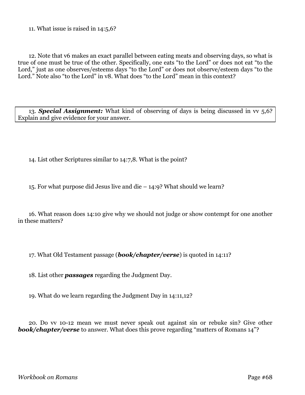11. What issue is raised in 14:5,6?

12. Note that v6 makes an exact parallel between eating meats and observing days, so what is true of one must be true of the other. Specifically, one eats "to the Lord" or does not eat "to the Lord," just as one observes/esteems days "to the Lord" or does not observe/esteem days "to the Lord." Note also "to the Lord" in v8. What does "to the Lord" mean in this context?

13. *Special Assignment:* What kind of observing of days is being discussed in vv 5,6? Explain and give evidence for your answer.

14. List other Scriptures similar to 14:7,8. What is the point?

15. For what purpose did Jesus live and die – 14:9? What should we learn?

16. What reason does 14:10 give why we should not judge or show contempt for one another in these matters?

17. What Old Testament passage (*book/chapter/verse*) is quoted in 14:11?

18. List other *passages* regarding the Judgment Day.

19. What do we learn regarding the Judgment Day in 14:11,12?

20. Do vv 10-12 mean we must never speak out against sin or rebuke sin? Give other **book/chapter/verse** to answer. What does this prove regarding "matters of Romans 14"?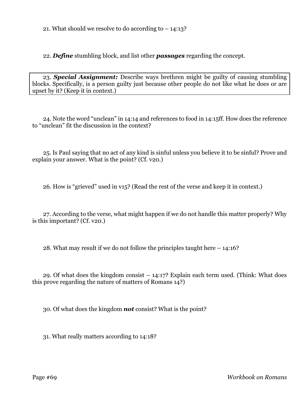21. What should we resolve to do according to  $-14:13$ ?

22. *Define* stumbling block, and list other *passages* regarding the concept.

23. *Special Assignment:* Describe ways brethren might be guilty of causing stumbling blocks. Specifically, is a person guilty just because other people do not like what he does or are upset by it? (Keep it in context.)

24. Note the word "unclean" in 14:14 and references to food in 14:15ff. How does the reference to "unclean" fit the discussion in the context?

25. Is Paul saying that no act of any kind is sinful unless you believe it to be sinful? Prove and explain your answer. What is the point? (Cf. v20.)

26. How is "grieved" used in v15? (Read the rest of the verse and keep it in context.)

27. According to the verse, what might happen if we do not handle this matter properly? Why is this important? (Cf. v20.)

28. What may result if we do not follow the principles taught here – 14:16?

29. Of what does the kingdom consist – 14:17? Explain each term used. (Think: What does this prove regarding the nature of matters of Romans 14?)

30. Of what does the kingdom *not* consist? What is the point?

31. What really matters according to 14:18?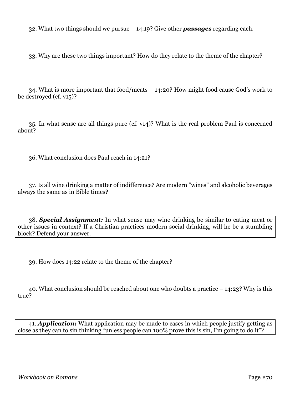32. What two things should we pursue – 14:19? Give other *passages* regarding each.

33. Why are these two things important? How do they relate to the theme of the chapter?

34. What is more important that food/meats – 14:20? How might food cause God's work to be destroyed (cf. v15)?

35. In what sense are all things pure (cf. v14)? What is the real problem Paul is concerned about?

36. What conclusion does Paul reach in 14:21?

37. Is all wine drinking a matter of indifference? Are modern "wines" and alcoholic beverages always the same as in Bible times?

38. *Special Assignment:* In what sense may wine drinking be similar to eating meat or other issues in context? If a Christian practices modern social drinking, will he be a stumbling block? Defend your answer.

39. How does 14:22 relate to the theme of the chapter?

40. What conclusion should be reached about one who doubts a practice – 14:23? Why is this true?

41. *Application:* What application may be made to cases in which people justify getting as close as they can to sin thinking "unless people can 100% prove this is sin, I'm going to do it"?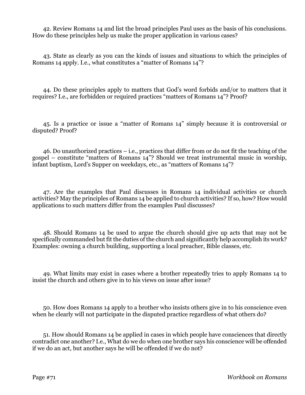42. Review Romans 14 and list the broad principles Paul uses as the basis of his conclusions. How do these principles help us make the proper application in various cases?

43. State as clearly as you can the kinds of issues and situations to which the principles of Romans 14 apply. I.e., what constitutes a "matter of Romans 14"?

44. Do these principles apply to matters that God's word forbids and/or to matters that it requires? I.e., are forbidden or required practices "matters of Romans 14"? Proof?

45. Is a practice or issue a "matter of Romans 14" simply because it is controversial or disputed? Proof?

46. Do unauthorized practices – i.e., practices that differ from or do not fit the teaching of the gospel – constitute "matters of Romans 14"? Should we treat instrumental music in worship, infant baptism, Lord's Supper on weekdays, etc., as "matters of Romans 14"?

47. Are the examples that Paul discusses in Romans 14 individual activities or church activities? May the principles of Romans 14 be applied to church activities? If so, how? How would applications to such matters differ from the examples Paul discusses?

48. Should Romans 14 be used to argue the church should give up acts that may not be specifically commanded but fit the duties of the church and significantly help accomplish its work? Examples: owning a church building, supporting a local preacher, Bible classes, etc.

49. What limits may exist in cases where a brother repeatedly tries to apply Romans 14 to insist the church and others give in to his views on issue after issue?

50. How does Romans 14 apply to a brother who insists others give in to his conscience even when he clearly will not participate in the disputed practice regardless of what others do?

51. How should Romans 14 be applied in cases in which people have consciences that directly contradict one another? I.e., What do we do when one brother says his conscience will be offended if we do an act, but another says he will be offended if we do not?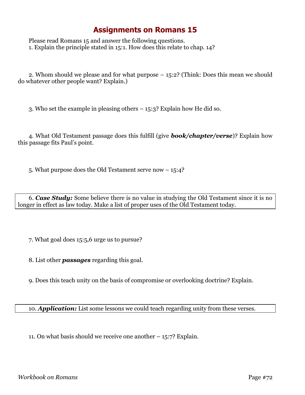Please read Romans 15 and answer the following questions. 1. Explain the principle stated in 15:1. How does this relate to chap. 14?

2. Whom should we please and for what purpose – 15:2? (Think: Does this mean we should do whatever other people want? Explain.)

3. Who set the example in pleasing others – 15:3? Explain how He did so.

4. What Old Testament passage does this fulfill (give *book/chapter/verse*)? Explain how this passage fits Paul's point.

5. What purpose does the Old Testament serve now – 15:4?

6. *Case Study:* Some believe there is no value in studying the Old Testament since it is no longer in effect as law today. Make a list of proper uses of the Old Testament today.

7. What goal does 15:5,6 urge us to pursue?

8. List other *passages* regarding this goal.

9. Does this teach unity on the basis of compromise or overlooking doctrine? Explain.

10. *Application:* List some lessons we could teach regarding unity from these verses.

11. On what basis should we receive one another – 15:7? Explain.

*Workbook on Romans* Page #72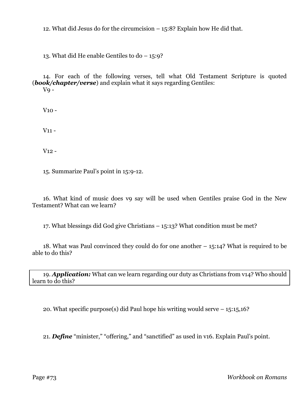12. What did Jesus do for the circumcision – 15:8? Explain how He did that.

13. What did He enable Gentiles to do – 15:9?

14. For each of the following verses, tell what Old Testament Scripture is quoted (*book/chapter/verse*) and explain what it says regarding Gentiles:  $VQ -$ 

V10 -

V11 -

V12 -

15. Summarize Paul's point in 15:9-12.

16. What kind of music does v9 say will be used when Gentiles praise God in the New Testament? What can we learn?

17. What blessings did God give Christians – 15:13? What condition must be met?

18. What was Paul convinced they could do for one another – 15:14? What is required to be able to do this?

19. *Application:* What can we learn regarding our duty as Christians from v14? Who should learn to do this?

20. What specific purpose(s) did Paul hope his writing would serve – 15:15,16?

21. *Define* "minister," "offering," and "sanctified" as used in v16. Explain Paul's point.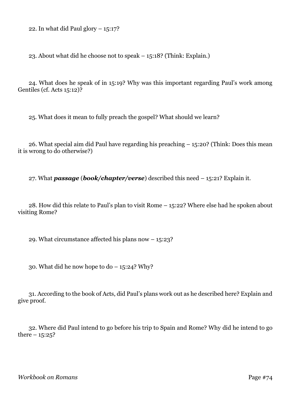22. In what did Paul glory  $-15:17$ ?

23. About what did he choose not to speak – 15:18? (Think: Explain.)

24. What does he speak of in 15:19? Why was this important regarding Paul's work among Gentiles (cf. Acts 15:12)?

25. What does it mean to fully preach the gospel? What should we learn?

26. What special aim did Paul have regarding his preaching – 15:20? (Think: Does this mean it is wrong to do otherwise?)

27. What *passage* (*book/chapter/verse*) described this need – 15:21? Explain it.

28. How did this relate to Paul's plan to visit Rome – 15:22? Where else had he spoken about visiting Rome?

29. What circumstance affected his plans now – 15:23?

30. What did he now hope to  $do - 15:24$ ? Why?

31. According to the book of Acts, did Paul's plans work out as he described here? Explain and give proof.

32. Where did Paul intend to go before his trip to Spain and Rome? Why did he intend to go there  $-15:25$ ?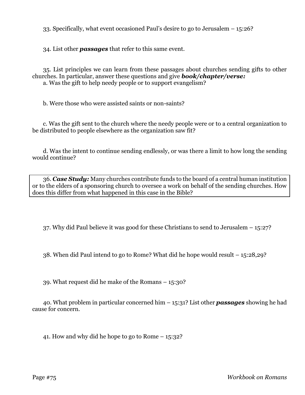33. Specifically, what event occasioned Paul's desire to go to Jerusalem – 15:26?

34. List other *passages* that refer to this same event.

35. List principles we can learn from these passages about churches sending gifts to other churches. In particular, answer these questions and give *book/chapter/verse:*

a. Was the gift to help needy people or to support evangelism?

b. Were those who were assisted saints or non-saints?

c. Was the gift sent to the church where the needy people were or to a central organization to be distributed to people elsewhere as the organization saw fit?

d. Was the intent to continue sending endlessly, or was there a limit to how long the sending would continue?

36. *Case Study:* Many churches contribute funds to the board of a central human institution or to the elders of a sponsoring church to oversee a work on behalf of the sending churches. How does this differ from what happened in this case in the Bible?

37. Why did Paul believe it was good for these Christians to send to Jerusalem – 15:27?

38. When did Paul intend to go to Rome? What did he hope would result – 15:28,29?

39. What request did he make of the Romans – 15:30?

40. What problem in particular concerned him – 15:31? List other *passages* showing he had cause for concern.

41. How and why did he hope to go to Rome – 15:32?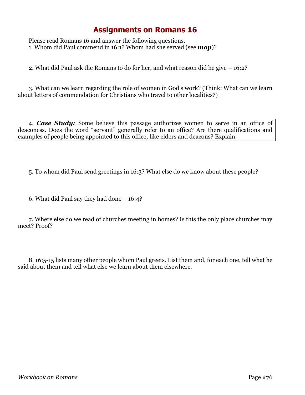## **Assignments on Romans 16**

Please read Romans 16 and answer the following questions. 1. Whom did Paul commend in 16:1? Whom had she served (see *map*)?

2. What did Paul ask the Romans to do for her, and what reason did he give – 16:2?

3. What can we learn regarding the role of women in God's work? (Think: What can we learn about letters of commendation for Christians who travel to other localities?)

4. *Case Study:* Some believe this passage authorizes women to serve in an office of deaconess. Does the word "servant" generally refer to an office? Are there qualifications and examples of people being appointed to this office, like elders and deacons? Explain.

5. To whom did Paul send greetings in 16:3? What else do we know about these people?

6. What did Paul say they had done – 16:4?

7. Where else do we read of churches meeting in homes? Is this the only place churches may meet? Proof?

8. 16:5-15 lists many other people whom Paul greets. List them and, for each one, tell what he said about them and tell what else we learn about them elsewhere.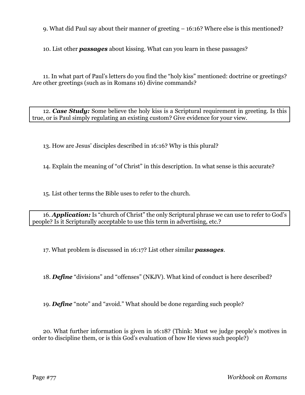9. What did Paul say about their manner of greeting – 16:16? Where else is this mentioned?

10. List other *passages* about kissing. What can you learn in these passages?

11. In what part of Paul's letters do you find the "holy kiss" mentioned: doctrine or greetings? Are other greetings (such as in Romans 16) divine commands?

12. *Case Study:* Some believe the holy kiss is a Scriptural requirement in greeting. Is this true, or is Paul simply regulating an existing custom? Give evidence for your view.

13. How are Jesus' disciples described in 16:16? Why is this plural?

14. Explain the meaning of "of Christ" in this description. In what sense is this accurate?

15. List other terms the Bible uses to refer to the church.

16. *Application:* Is "church of Christ" the only Scriptural phrase we can use to refer to God's people? Is it Scripturally acceptable to use this term in advertising, etc.?

17. What problem is discussed in 16:17? List other similar *passages*.

18. *Define* "divisions" and "offenses" (NKJV). What kind of conduct is here described?

19. *Define* "note" and "avoid." What should be done regarding such people?

20. What further information is given in 16:18? (Think: Must we judge people's motives in order to discipline them, or is this God's evaluation of how He views such people?)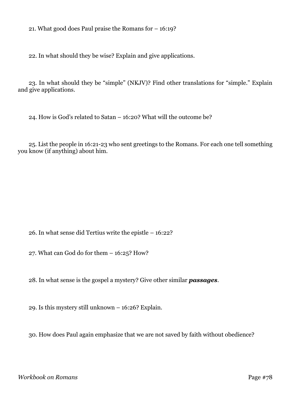21. What good does Paul praise the Romans for – 16:19?

22. In what should they be wise? Explain and give applications.

23. In what should they be "simple" (NKJV)? Find other translations for "simple." Explain and give applications.

24. How is God's related to Satan – 16:20? What will the outcome be?

25. List the people in 16:21-23 who sent greetings to the Romans. For each one tell something you know (if anything) about him.

26. In what sense did Tertius write the epistle – 16:22?

27. What can God do for them – 16:25? How?

28. In what sense is the gospel a mystery? Give other similar *passages*.

29. Is this mystery still unknown – 16:26? Explain.

30. How does Paul again emphasize that we are not saved by faith without obedience?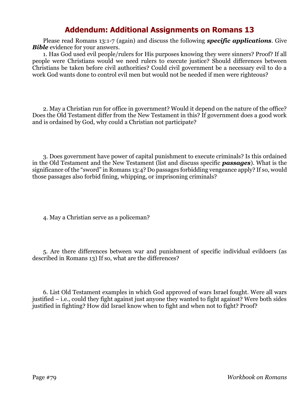## **Addendum: Additional Assignments on Romans 13**

Please read Romans 13:1-7 (again) and discuss the following *specific applications*. Give *Bible* evidence for your answers.

1. Has God used evil people/rulers for His purposes knowing they were sinners? Proof? If all people were Christians would we need rulers to execute justice? Should differences between Christians be taken before civil authorities? Could civil government be a necessary evil to do a work God wants done to control evil men but would not be needed if men were righteous?

2. May a Christian run for office in government? Would it depend on the nature of the office? Does the Old Testament differ from the New Testament in this? If government does a good work and is ordained by God, why could a Christian not participate?

3. Does government have power of capital punishment to execute criminals? Is this ordained in the Old Testament and the New Testament (list and discuss specific *passages*). What is the significance of the "sword" in Romans 13:4? Do passages forbidding vengeance apply? If so, would those passages also forbid fining, whipping, or imprisoning criminals?

4. May a Christian serve as a policeman?

5. Are there differences between war and punishment of specific individual evildoers (as described in Romans 13) If so, what are the differences?

6. List Old Testament examples in which God approved of wars Israel fought. Were all wars justified – i.e., could they fight against just anyone they wanted to fight against? Were both sides justified in fighting? How did Israel know when to fight and when not to fight? Proof?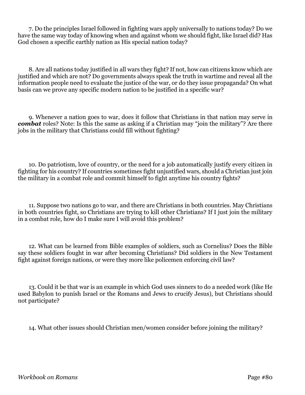7. Do the principles Israel followed in fighting wars apply universally to nations today? Do we have the same way today of knowing when and against whom we should fight, like Israel did? Has God chosen a specific earthly nation as His special nation today?

8. Are all nations today justified in all wars they fight? If not, how can citizens know which are justified and which are not? Do governments always speak the truth in wartime and reveal all the information people need to evaluate the justice of the war, or do they issue propaganda? On what basis can we prove any specific modern nation to be justified in a specific war?

9. Whenever a nation goes to war, does it follow that Christians in that nation may serve in **combat** roles? Note: Is this the same as asking if a Christian may "join the military"? Are there jobs in the military that Christians could fill without fighting?

10. Do patriotism, love of country, or the need for a job automatically justify every citizen in fighting for his country? If countries sometimes fight unjustified wars, should a Christian just join the military in a combat role and commit himself to fight anytime his country fights?

11. Suppose two nations go to war, and there are Christians in both countries. May Christians in both countries fight, so Christians are trying to kill other Christians? If I just join the military in a combat role, how do I make sure I will avoid this problem?

12. What can be learned from Bible examples of soldiers, such as Cornelius? Does the Bible say these soldiers fought in war after becoming Christians? Did soldiers in the New Testament fight against foreign nations, or were they more like policemen enforcing civil law?

13. Could it be that war is an example in which God uses sinners to do a needed work (like He used Babylon to punish Israel or the Romans and Jews to crucify Jesus), but Christians should not participate?

14. What other issues should Christian men/women consider before joining the military?